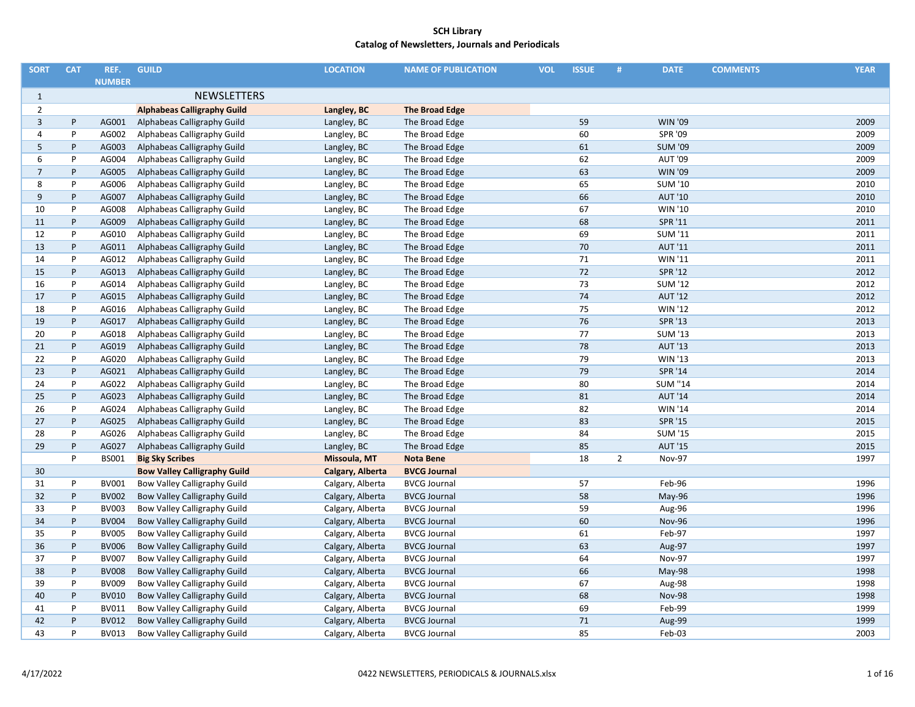| <b>SORT</b>    | <b>CAT</b> | REF.          | <b>GUILD</b>                        | <b>LOCATION</b>  | <b>NAME OF PUBLICATION</b> | <b>VOL</b> | <b>ISSUE</b> | #              | <b>DATE</b>    | <b>COMMENTS</b> | <b>YEAR</b> |
|----------------|------------|---------------|-------------------------------------|------------------|----------------------------|------------|--------------|----------------|----------------|-----------------|-------------|
|                |            | <b>NUMBER</b> |                                     |                  |                            |            |              |                |                |                 |             |
| $\mathbf{1}$   |            |               | <b>NEWSLETTERS</b>                  |                  |                            |            |              |                |                |                 |             |
| $\overline{2}$ |            |               | <b>Alphabeas Calligraphy Guild</b>  | Langley, BC      | <b>The Broad Edge</b>      |            |              |                |                |                 |             |
| 3              | P          | AG001         | Alphabeas Calligraphy Guild         | Langley, BC      | The Broad Edge             |            | 59           |                | <b>WIN '09</b> |                 | 2009        |
| 4              | P          | AG002         | Alphabeas Calligraphy Guild         | Langley, BC      | The Broad Edge             |            | 60           |                | <b>SPR '09</b> |                 | 2009        |
| 5              | P          | AG003         | Alphabeas Calligraphy Guild         | Langley, BC      | The Broad Edge             |            | 61           |                | <b>SUM '09</b> |                 | 2009        |
| 6              | P          | AG004         | Alphabeas Calligraphy Guild         | Langley, BC      | The Broad Edge             |            | 62           |                | <b>AUT '09</b> |                 | 2009        |
| $\overline{7}$ | P          | AG005         | Alphabeas Calligraphy Guild         | Langley, BC      | The Broad Edge             |            | 63           |                | <b>WIN '09</b> |                 | 2009        |
| 8              | P          | AG006         | Alphabeas Calligraphy Guild         | Langley, BC      | The Broad Edge             |            | 65           |                | <b>SUM '10</b> |                 | 2010        |
| 9              | P          | AG007         | Alphabeas Calligraphy Guild         | Langley, BC      | The Broad Edge             |            | 66           |                | <b>AUT '10</b> |                 | 2010        |
| 10             | P          | AG008         | Alphabeas Calligraphy Guild         | Langley, BC      | The Broad Edge             |            | 67           |                | WIN '10        |                 | 2010        |
| 11             | P          | AG009         | Alphabeas Calligraphy Guild         | Langley, BC      | The Broad Edge             |            | 68           |                | SPR '11        |                 | 2011        |
| 12             | P          | AG010         | Alphabeas Calligraphy Guild         | Langley, BC      | The Broad Edge             |            | 69           |                | <b>SUM '11</b> |                 | 2011        |
| 13             | P          | AG011         | Alphabeas Calligraphy Guild         | Langley, BC      | The Broad Edge             |            | 70           |                | <b>AUT '11</b> |                 | 2011        |
| 14             | P          | AG012         | Alphabeas Calligraphy Guild         | Langley, BC      | The Broad Edge             |            | 71           |                | <b>WIN '11</b> |                 | 2011        |
| 15             | P          | AG013         | Alphabeas Calligraphy Guild         | Langley, BC      | The Broad Edge             |            | 72           |                | SPR '12        |                 | 2012        |
| 16             | P          | AG014         | Alphabeas Calligraphy Guild         | Langley, BC      | The Broad Edge             |            | 73           |                | <b>SUM '12</b> |                 | 2012        |
| 17             | P          | AG015         | Alphabeas Calligraphy Guild         | Langley, BC      | The Broad Edge             |            | 74           |                | <b>AUT '12</b> |                 | 2012        |
| 18             | P          | AG016         | Alphabeas Calligraphy Guild         | Langley, BC      | The Broad Edge             |            | 75           |                | <b>WIN '12</b> |                 | 2012        |
| 19             | P          | AG017         | Alphabeas Calligraphy Guild         | Langley, BC      | The Broad Edge             |            | 76           |                | <b>SPR '13</b> |                 | 2013        |
| 20             | P          | AG018         | Alphabeas Calligraphy Guild         | Langley, BC      | The Broad Edge             |            | 77           |                | <b>SUM '13</b> |                 | 2013        |
| 21             | P          | AG019         | Alphabeas Calligraphy Guild         | Langley, BC      | The Broad Edge             |            | 78           |                | <b>AUT '13</b> |                 | 2013        |
| 22             | P          | AG020         | Alphabeas Calligraphy Guild         | Langley, BC      | The Broad Edge             |            | 79           |                | WIN '13        |                 | 2013        |
| 23             | P          | AG021         | Alphabeas Calligraphy Guild         | Langley, BC      | The Broad Edge             |            | 79           |                | <b>SPR '14</b> |                 | 2014        |
| 24             | P          | AG022         | Alphabeas Calligraphy Guild         | Langley, BC      | The Broad Edge             |            | 80           |                | <b>SUM "14</b> |                 | 2014        |
| 25             | $\sf P$    | AG023         | Alphabeas Calligraphy Guild         | Langley, BC      | The Broad Edge             |            | 81           |                | <b>AUT '14</b> |                 | 2014        |
| 26             | P          | AG024         | Alphabeas Calligraphy Guild         | Langley, BC      | The Broad Edge             |            | 82           |                | <b>WIN '14</b> |                 | 2014        |
| 27             | P          | AG025         | Alphabeas Calligraphy Guild         | Langley, BC      | The Broad Edge             |            | 83           |                | <b>SPR '15</b> |                 | 2015        |
| 28             | P          | AG026         | Alphabeas Calligraphy Guild         | Langley, BC      | The Broad Edge             |            | 84           |                | <b>SUM '15</b> |                 | 2015        |
| 29             | P          | AG027         | Alphabeas Calligraphy Guild         | Langley, BC      | The Broad Edge             |            | 85           |                | <b>AUT '15</b> |                 | 2015        |
|                | P          | <b>BS001</b>  | <b>Big Sky Scribes</b>              | Missoula, MT     | <b>Nota Bene</b>           |            | 18           | $\overline{2}$ | <b>Nov-97</b>  |                 | 1997        |
| 30             |            |               | <b>Bow Valley Calligraphy Guild</b> | Calgary, Alberta | <b>BVCG Journal</b>        |            |              |                |                |                 |             |
| 31             | P          | BV001         | Bow Valley Calligraphy Guild        | Calgary, Alberta | <b>BVCG Journal</b>        |            | 57           |                | Feb-96         |                 | 1996        |
| 32             | P          | <b>BV002</b>  | Bow Valley Calligraphy Guild        | Calgary, Alberta | <b>BVCG Journal</b>        |            | 58           |                | May-96         |                 | 1996        |
| 33             | P          | BV003         | Bow Valley Calligraphy Guild        | Calgary, Alberta | <b>BVCG Journal</b>        |            | 59           |                | Aug-96         |                 | 1996        |
| 34             | P          | <b>BV004</b>  | Bow Valley Calligraphy Guild        | Calgary, Alberta | <b>BVCG Journal</b>        |            | 60           |                | <b>Nov-96</b>  |                 | 1996        |
| 35             | P          | <b>BV005</b>  | Bow Valley Calligraphy Guild        | Calgary, Alberta | <b>BVCG Journal</b>        |            | 61           |                | Feb-97         |                 | 1997        |
| 36             | P          | <b>BV006</b>  | Bow Valley Calligraphy Guild        | Calgary, Alberta | <b>BVCG Journal</b>        |            | 63           |                | Aug-97         |                 | 1997        |
| 37             | P          | <b>BV007</b>  | Bow Valley Calligraphy Guild        | Calgary, Alberta | <b>BVCG Journal</b>        |            | 64           |                | <b>Nov-97</b>  |                 | 1997        |
| 38             | P          | <b>BV008</b>  | Bow Valley Calligraphy Guild        | Calgary, Alberta | <b>BVCG Journal</b>        |            | 66           |                | May-98         |                 | 1998        |
| 39             | P          | <b>BV009</b>  | Bow Valley Calligraphy Guild        | Calgary, Alberta | <b>BVCG Journal</b>        |            | 67           |                | Aug-98         |                 | 1998        |
| 40             | P          | <b>BV010</b>  | Bow Valley Calligraphy Guild        | Calgary, Alberta | <b>BVCG Journal</b>        |            | 68           |                | <b>Nov-98</b>  |                 | 1998        |
| 41             | P          | <b>BV011</b>  | Bow Valley Calligraphy Guild        | Calgary, Alberta | <b>BVCG Journal</b>        |            | 69           |                | Feb-99         |                 | 1999        |
| 42             | P          | <b>BV012</b>  | Bow Valley Calligraphy Guild        | Calgary, Alberta | <b>BVCG Journal</b>        |            | 71           |                | Aug-99         |                 | 1999        |
| 43             | P          | <b>BV013</b>  | Bow Valley Calligraphy Guild        | Calgary, Alberta | <b>BVCG Journal</b>        |            | 85           |                | Feb-03         |                 | 2003        |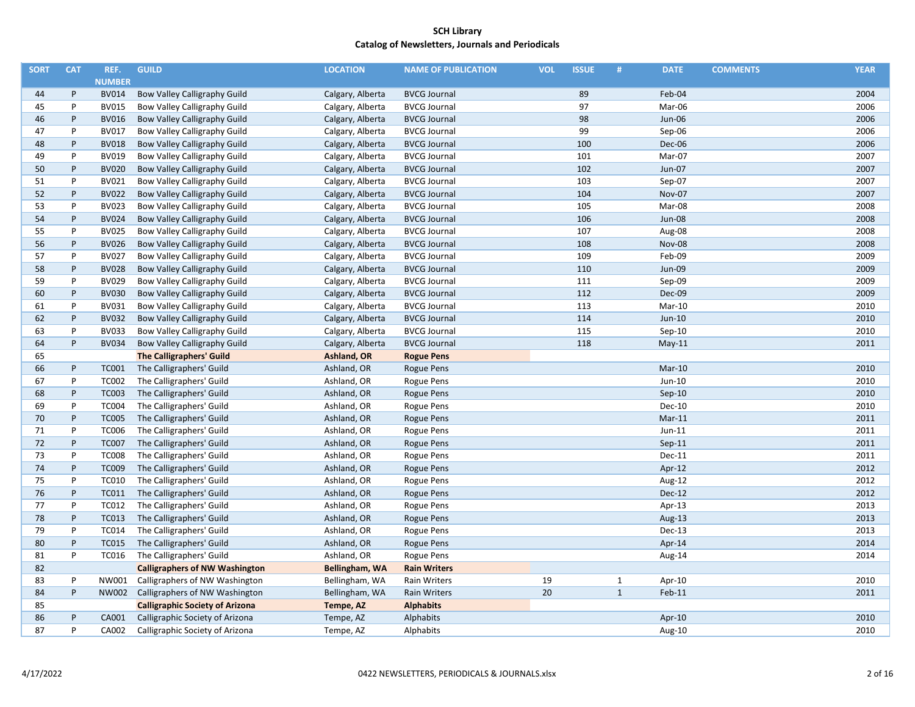| <b>SORT</b> | <b>CAT</b> | REF.          | <b>GUILD</b>                           | <b>LOCATION</b>  | <b>NAME OF PUBLICATION</b> | <b>VOL</b> | <b>ISSUE</b> | #            | <b>DATE</b>   | <b>COMMENTS</b> | <b>YEAR</b> |
|-------------|------------|---------------|----------------------------------------|------------------|----------------------------|------------|--------------|--------------|---------------|-----------------|-------------|
|             |            | <b>NUMBER</b> |                                        |                  |                            |            |              |              |               |                 |             |
| 44          | P          | <b>BV014</b>  | Bow Valley Calligraphy Guild           | Calgary, Alberta | <b>BVCG Journal</b>        |            | 89           |              | Feb-04        |                 | 2004        |
| 45          | P          | BV015         | Bow Valley Calligraphy Guild           | Calgary, Alberta | <b>BVCG Journal</b>        |            | 97           |              | Mar-06        |                 | 2006        |
| 46          | P          | <b>BV016</b>  | Bow Valley Calligraphy Guild           | Calgary, Alberta | <b>BVCG Journal</b>        |            | 98           |              | Jun-06        |                 | 2006        |
| 47          | P          | <b>BV017</b>  | Bow Valley Calligraphy Guild           | Calgary, Alberta | <b>BVCG Journal</b>        |            | 99           |              | Sep-06        |                 | 2006        |
| 48          | P          | <b>BV018</b>  | Bow Valley Calligraphy Guild           | Calgary, Alberta | <b>BVCG Journal</b>        |            | 100          |              | Dec-06        |                 | 2006        |
| 49          | P          | BV019         | Bow Valley Calligraphy Guild           | Calgary, Alberta | <b>BVCG Journal</b>        |            | 101          |              | Mar-07        |                 | 2007        |
| 50          | P          | <b>BV020</b>  | Bow Valley Calligraphy Guild           | Calgary, Alberta | <b>BVCG Journal</b>        |            | 102          |              | Jun-07        |                 | 2007        |
| 51          | P          | BV021         | Bow Valley Calligraphy Guild           | Calgary, Alberta | <b>BVCG Journal</b>        |            | 103          |              | Sep-07        |                 | 2007        |
| 52          | P          | <b>BV022</b>  | Bow Valley Calligraphy Guild           | Calgary, Alberta | <b>BVCG Journal</b>        |            | 104          |              | Nov-07        |                 | 2007        |
| 53          | P          | BV023         | Bow Valley Calligraphy Guild           | Calgary, Alberta | <b>BVCG Journal</b>        |            | 105          |              | Mar-08        |                 | 2008        |
| 54          | P          | <b>BV024</b>  | <b>Bow Valley Calligraphy Guild</b>    | Calgary, Alberta | <b>BVCG Journal</b>        |            | 106          |              | <b>Jun-08</b> |                 | 2008        |
| 55          | P          | BV025         | Bow Valley Calligraphy Guild           | Calgary, Alberta | <b>BVCG Journal</b>        |            | 107          |              | Aug-08        |                 | 2008        |
| 56          | P          | <b>BV026</b>  | Bow Valley Calligraphy Guild           | Calgary, Alberta | <b>BVCG Journal</b>        |            | 108          |              | <b>Nov-08</b> |                 | 2008        |
| 57          | P          | <b>BV027</b>  | Bow Valley Calligraphy Guild           | Calgary, Alberta | <b>BVCG Journal</b>        |            | 109          |              | Feb-09        |                 | 2009        |
| 58          | P          | <b>BV028</b>  | Bow Valley Calligraphy Guild           | Calgary, Alberta | <b>BVCG Journal</b>        |            | 110          |              | Jun-09        |                 | 2009        |
| 59          | P          | BV029         | Bow Valley Calligraphy Guild           | Calgary, Alberta | <b>BVCG Journal</b>        |            | 111          |              | Sep-09        |                 | 2009        |
| 60          | P          | <b>BV030</b>  | Bow Valley Calligraphy Guild           | Calgary, Alberta | <b>BVCG Journal</b>        |            | 112          |              | Dec-09        |                 | 2009        |
| 61          | P          | <b>BV031</b>  | Bow Valley Calligraphy Guild           | Calgary, Alberta | <b>BVCG Journal</b>        |            | 113          |              | Mar-10        |                 | 2010        |
| 62          | P          | <b>BV032</b>  | Bow Valley Calligraphy Guild           | Calgary, Alberta | <b>BVCG Journal</b>        |            | 114          |              | $Jun-10$      |                 | 2010        |
| 63          | P          | <b>BV033</b>  | Bow Valley Calligraphy Guild           | Calgary, Alberta | <b>BVCG Journal</b>        |            | 115          |              | $Sep-10$      |                 | 2010        |
| 64          | P          | <b>BV034</b>  | Bow Valley Calligraphy Guild           | Calgary, Alberta | <b>BVCG Journal</b>        |            | 118          |              | $May-11$      |                 | 2011        |
| 65          |            |               | <b>The Calligraphers' Guild</b>        | Ashland, OR      | <b>Rogue Pens</b>          |            |              |              |               |                 |             |
| 66          | P          | <b>TC001</b>  | The Calligraphers' Guild               | Ashland, OR      | Rogue Pens                 |            |              |              | Mar-10        |                 | 2010        |
| 67          | P          | <b>TC002</b>  | The Calligraphers' Guild               | Ashland, OR      | Rogue Pens                 |            |              |              | Jun-10        |                 | 2010        |
| 68          | P          | <b>TC003</b>  | The Calligraphers' Guild               | Ashland, OR      | Rogue Pens                 |            |              |              | $Sep-10$      |                 | 2010        |
| 69          | P          | <b>TC004</b>  | The Calligraphers' Guild               | Ashland, OR      | Rogue Pens                 |            |              |              | Dec-10        |                 | 2010        |
| 70          | P          | <b>TC005</b>  | The Calligraphers' Guild               | Ashland, OR      | Rogue Pens                 |            |              |              | $Mar-11$      |                 | 2011        |
| 71          | P          | <b>TC006</b>  | The Calligraphers' Guild               | Ashland, OR      | Rogue Pens                 |            |              |              | $Jun-11$      |                 | 2011        |
| 72          | P          | <b>TC007</b>  | The Calligraphers' Guild               | Ashland, OR      | Rogue Pens                 |            |              |              | $Sep-11$      |                 | 2011        |
| 73          | P          | <b>TC008</b>  | The Calligraphers' Guild               | Ashland, OR      | <b>Rogue Pens</b>          |            |              |              | Dec-11        |                 | 2011        |
| 74          | P          | <b>TC009</b>  | The Calligraphers' Guild               | Ashland, OR      | Rogue Pens                 |            |              |              | Apr-12        |                 | 2012        |
| 75          | P          | <b>TC010</b>  | The Calligraphers' Guild               | Ashland, OR      | Rogue Pens                 |            |              |              | Aug-12        |                 | 2012        |
| 76          | P          | <b>TC011</b>  | The Calligraphers' Guild               | Ashland, OR      | <b>Rogue Pens</b>          |            |              |              | <b>Dec-12</b> |                 | 2012        |
| 77          | P          | <b>TC012</b>  | The Calligraphers' Guild               | Ashland, OR      | Rogue Pens                 |            |              |              | Apr-13        |                 | 2013        |
| 78          | P          | <b>TC013</b>  | The Calligraphers' Guild               | Ashland, OR      | Rogue Pens                 |            |              |              | Aug-13        |                 | 2013        |
| 79          | P          | <b>TC014</b>  | The Calligraphers' Guild               | Ashland, OR      | Rogue Pens                 |            |              |              | Dec-13        |                 | 2013        |
| 80          | P          | <b>TC015</b>  | The Calligraphers' Guild               | Ashland, OR      | Rogue Pens                 |            |              |              | Apr-14        |                 | 2014        |
| 81          | P          | <b>TC016</b>  | The Calligraphers' Guild               | Ashland, OR      | Rogue Pens                 |            |              |              | Aug-14        |                 | 2014        |
| 82          |            |               | <b>Calligraphers of NW Washington</b>  | Bellingham, WA   | <b>Rain Writers</b>        |            |              |              |               |                 |             |
| 83          | P          | NW001         | Calligraphers of NW Washington         | Bellingham, WA   | Rain Writers               | 19         |              | $\mathbf{1}$ | Apr-10        |                 | 2010        |
| 84          | P          | NW002         | Calligraphers of NW Washington         | Bellingham, WA   | Rain Writers               | 20         |              | $\mathbf{1}$ | Feb-11        |                 | 2011        |
| 85          |            |               | <b>Calligraphic Society of Arizona</b> | Tempe, AZ        | <b>Alphabits</b>           |            |              |              |               |                 |             |
| 86          | P          | CA001         | Calligraphic Society of Arizona        | Tempe, AZ        | Alphabits                  |            |              |              | Apr-10        |                 | 2010        |
| 87          | P          | CA002         | Calligraphic Society of Arizona        | Tempe, AZ        | Alphabits                  |            |              |              | Aug-10        |                 | 2010        |
|             |            |               |                                        |                  |                            |            |              |              |               |                 |             |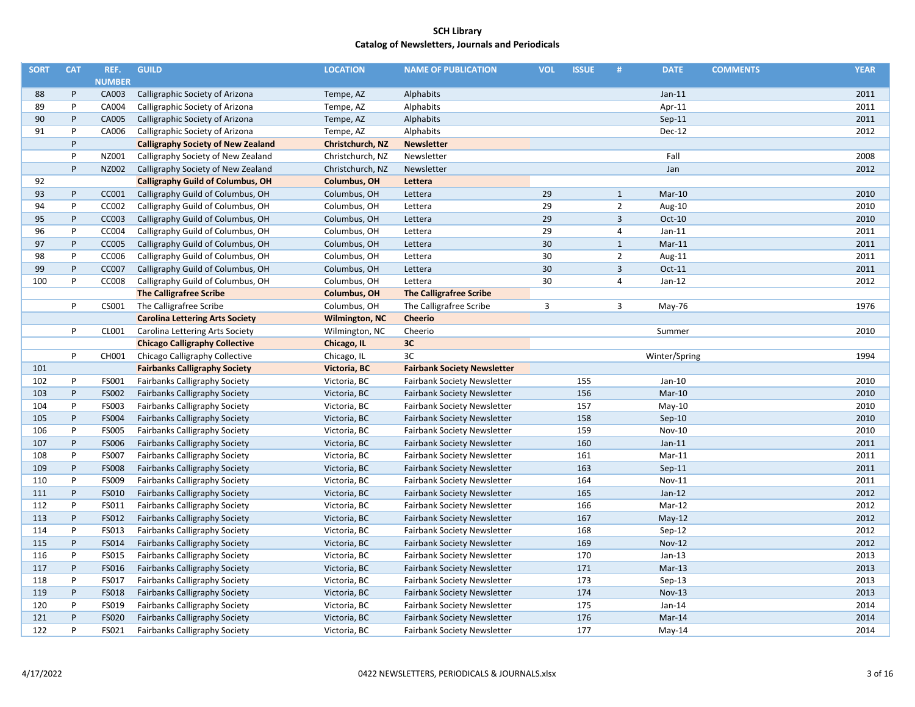| <b>SORT</b> | <b>CAT</b> | REF.          | <b>GUILD</b>                              | <b>LOCATION</b>       | <b>NAME OF PUBLICATION</b>         | <b>VOL</b> | <b>ISSUE</b> | #              | <b>DATE</b>   | <b>COMMENTS</b> | <b>YEAR</b> |
|-------------|------------|---------------|-------------------------------------------|-----------------------|------------------------------------|------------|--------------|----------------|---------------|-----------------|-------------|
|             |            | <b>NUMBER</b> |                                           |                       |                                    |            |              |                |               |                 |             |
| 88          | P          | CA003         | Calligraphic Society of Arizona           | Tempe, AZ             | Alphabits                          |            |              |                | $Jan-11$      |                 | 2011        |
| 89          | P          | CA004         | Calligraphic Society of Arizona           | Tempe, AZ             | Alphabits                          |            |              |                | Apr-11        |                 | 2011        |
| 90          | $\sf P$    | CA005         | Calligraphic Society of Arizona           | Tempe, AZ             | Alphabits                          |            |              |                | $Sep-11$      |                 | 2011        |
| 91          | P          | CA006         | Calligraphic Society of Arizona           | Tempe, AZ             | Alphabits                          |            |              |                | Dec-12        |                 | 2012        |
|             | P          |               | <b>Calligraphy Society of New Zealand</b> | Christchurch, NZ      | <b>Newsletter</b>                  |            |              |                |               |                 |             |
|             | P          | NZ001         | Calligraphy Society of New Zealand        | Christchurch, NZ      | Newsletter                         |            |              |                | Fall          |                 | 2008        |
|             | P          | NZ002         | Calligraphy Society of New Zealand        | Christchurch, NZ      | Newsletter                         |            |              |                | Jan           |                 | 2012        |
| 92          |            |               | <b>Calligraphy Guild of Columbus, OH</b>  | Columbus, OH          | Lettera                            |            |              |                |               |                 |             |
| 93          | P          | CC001         | Calligraphy Guild of Columbus, OH         | Columbus, OH          | Lettera                            | 29         |              | $\mathbf{1}$   | $Mar-10$      |                 | 2010        |
| 94          | P          | CC002         | Calligraphy Guild of Columbus, OH         | Columbus, OH          | Lettera                            | 29         |              | $\overline{2}$ | Aug-10        |                 | 2010        |
| 95          | $\sf P$    | CC003         | Calligraphy Guild of Columbus, OH         | Columbus, OH          | Lettera                            | 29         |              | $\overline{3}$ | Oct-10        |                 | 2010        |
| 96          | P          | CC004         | Calligraphy Guild of Columbus, OH         | Columbus, OH          | Lettera                            | 29         |              | $\overline{4}$ | $Jan-11$      |                 | 2011        |
| 97          | P          | <b>CC005</b>  | Calligraphy Guild of Columbus, OH         | Columbus, OH          | Lettera                            | 30         |              | $\mathbf{1}$   | $Mar-11$      |                 | 2011        |
| 98          | P          | CC006         | Calligraphy Guild of Columbus, OH         | Columbus, OH          | Lettera                            | 30         |              | $\overline{2}$ | Aug-11        |                 | 2011        |
| 99          | P          | CC007         | Calligraphy Guild of Columbus, OH         | Columbus, OH          | Lettera                            | 30         |              | $\overline{3}$ | Oct-11        |                 | 2011        |
| 100         | P          | <b>CC008</b>  | Calligraphy Guild of Columbus, OH         | Columbus, OH          | Lettera                            | 30         |              | $\overline{4}$ | $Jan-12$      |                 | 2012        |
|             |            |               | <b>The Calligrafree Scribe</b>            | <b>Columbus, OH</b>   | <b>The Calligrafree Scribe</b>     |            |              |                |               |                 |             |
|             | P          | CS001         | The Calligrafree Scribe                   | Columbus, OH          | The Calligrafree Scribe            | 3          |              | $\overline{3}$ | May-76        |                 | 1976        |
|             |            |               | <b>Carolina Lettering Arts Society</b>    | <b>Wilmington, NC</b> | <b>Cheerio</b>                     |            |              |                |               |                 |             |
|             | P          | CL001         | Carolina Lettering Arts Society           | Wilmington, NC        | Cheerio                            |            |              |                | Summer        |                 | 2010        |
|             |            |               | <b>Chicago Calligraphy Collective</b>     | Chicago, IL           | 3C                                 |            |              |                |               |                 |             |
|             | P          | CH001         | Chicago Calligraphy Collective            | Chicago, IL           | 3C                                 |            |              |                | Winter/Spring |                 | 1994        |
| 101         |            |               | <b>Fairbanks Calligraphy Society</b>      | Victoria, BC          | <b>Fairbank Society Newsletter</b> |            |              |                |               |                 |             |
| 102         | P          | FS001         | Fairbanks Calligraphy Society             | Victoria, BC          | <b>Fairbank Society Newsletter</b> |            | 155          |                | $Jan-10$      |                 | 2010        |
| 103         | P          | FS002         | <b>Fairbanks Calligraphy Society</b>      | Victoria, BC          | <b>Fairbank Society Newsletter</b> |            | 156          |                | $Mar-10$      |                 | 2010        |
| 104         | P          | FS003         | <b>Fairbanks Calligraphy Society</b>      | Victoria, BC          | <b>Fairbank Society Newsletter</b> |            | 157          |                | $May-10$      |                 | 2010        |
| 105         | P          | <b>FS004</b>  | <b>Fairbanks Calligraphy Society</b>      | Victoria, BC          | <b>Fairbank Society Newsletter</b> |            | 158          |                | $Sep-10$      |                 | 2010        |
| 106         | P          | <b>FS005</b>  | Fairbanks Calligraphy Society             | Victoria, BC          | <b>Fairbank Society Newsletter</b> |            | 159          |                | Nov-10        |                 | 2010        |
| 107         | P          | <b>FS006</b>  | <b>Fairbanks Calligraphy Society</b>      | Victoria, BC          | <b>Fairbank Society Newsletter</b> |            | 160          |                | $Jan-11$      |                 | 2011        |
| 108         | P          | FS007         | Fairbanks Calligraphy Society             | Victoria, BC          | <b>Fairbank Society Newsletter</b> |            | 161          |                | $Mar-11$      |                 | 2011        |
| 109         | P          | <b>FS008</b>  | <b>Fairbanks Calligraphy Society</b>      | Victoria, BC          | <b>Fairbank Society Newsletter</b> |            | 163          |                | $Sep-11$      |                 | 2011        |
| 110         | P          | FS009         | Fairbanks Calligraphy Society             | Victoria, BC          | <b>Fairbank Society Newsletter</b> |            | 164          |                | Nov-11        |                 | 2011        |
| 111         | P          | FS010         | <b>Fairbanks Calligraphy Society</b>      | Victoria, BC          | <b>Fairbank Society Newsletter</b> |            | 165          |                | $Jan-12$      |                 | 2012        |
| 112         | P          | FS011         | Fairbanks Calligraphy Society             | Victoria, BC          | <b>Fairbank Society Newsletter</b> |            | 166          |                | Mar-12        |                 | 2012        |
| 113         | P          | FS012         | <b>Fairbanks Calligraphy Society</b>      | Victoria, BC          | <b>Fairbank Society Newsletter</b> |            | 167          |                | $May-12$      |                 | 2012        |
| 114         | P          | FS013         | <b>Fairbanks Calligraphy Society</b>      | Victoria, BC          | <b>Fairbank Society Newsletter</b> |            | 168          |                | $Sep-12$      |                 | 2012        |
| 115         | P          | FS014         | <b>Fairbanks Calligraphy Society</b>      | Victoria, BC          | Fairbank Society Newsletter        |            | 169          |                | <b>Nov-12</b> |                 | 2012        |
| 116         | P          | FS015         | Fairbanks Calligraphy Society             | Victoria, BC          | <b>Fairbank Society Newsletter</b> |            | 170          |                | $Jan-13$      |                 | 2013        |
| 117         | P          | FS016         | Fairbanks Calligraphy Society             | Victoria, BC          | <b>Fairbank Society Newsletter</b> |            | 171          |                | $Mar-13$      |                 | 2013        |
| 118         | P          | FS017         | Fairbanks Calligraphy Society             | Victoria, BC          | <b>Fairbank Society Newsletter</b> |            | 173          |                | Sep-13        |                 | 2013        |
| 119         | P          | FS018         | <b>Fairbanks Calligraphy Society</b>      | Victoria, BC          | <b>Fairbank Society Newsletter</b> |            | 174          |                | <b>Nov-13</b> |                 | 2013        |
| 120         | P          | FS019         | Fairbanks Calligraphy Society             | Victoria, BC          | <b>Fairbank Society Newsletter</b> |            | 175          |                | $Jan-14$      |                 | 2014        |
| 121         | P          | <b>FS020</b>  | Fairbanks Calligraphy Society             | Victoria, BC          | <b>Fairbank Society Newsletter</b> |            | 176          |                | Mar-14        |                 | 2014        |
| 122         | P          | FS021         | <b>Fairbanks Calligraphy Society</b>      | Victoria, BC          | <b>Fairbank Society Newsletter</b> |            | 177          |                | $May-14$      |                 | 2014        |
|             |            |               |                                           |                       |                                    |            |              |                |               |                 |             |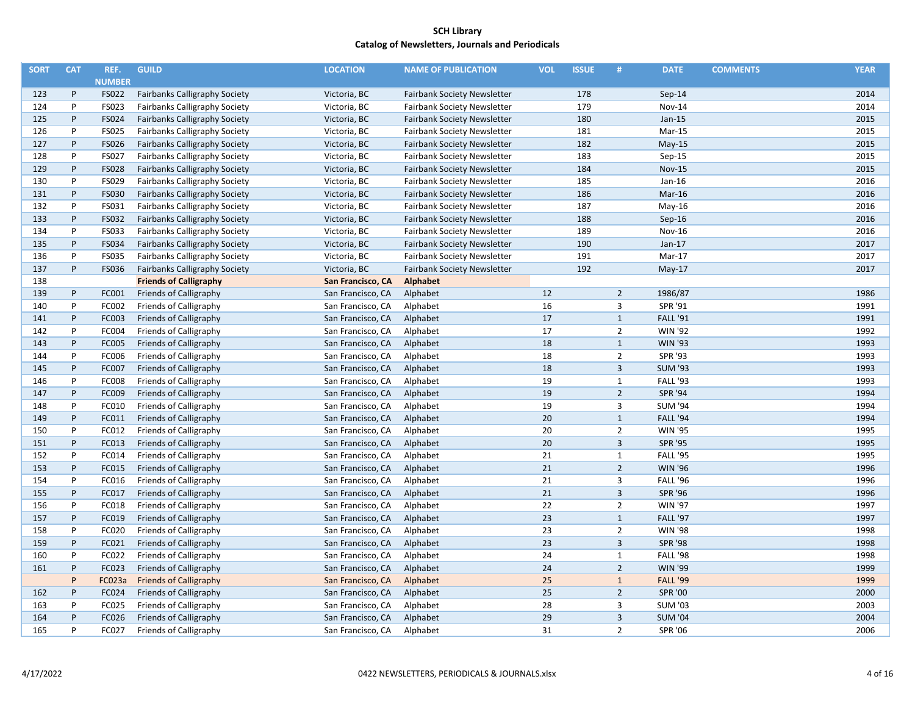| <b>SORT</b> | <b>CAT</b> | REF.          | <b>GUILD</b>                         | <b>LOCATION</b>   | <b>NAME OF PUBLICATION</b>         | <b>VOL</b> | <b>ISSUE</b> | #              | <b>DATE</b>     | <b>COMMENTS</b> | <b>YEAR</b> |
|-------------|------------|---------------|--------------------------------------|-------------------|------------------------------------|------------|--------------|----------------|-----------------|-----------------|-------------|
|             |            | <b>NUMBER</b> |                                      |                   |                                    |            |              |                |                 |                 |             |
| 123         | P          | FS022         | <b>Fairbanks Calligraphy Society</b> | Victoria, BC      | <b>Fairbank Society Newsletter</b> |            | 178          |                | $Sep-14$        |                 | 2014        |
| 124         | P          | FS023         | Fairbanks Calligraphy Society        | Victoria, BC      | <b>Fairbank Society Newsletter</b> |            | 179          |                | Nov-14          |                 | 2014        |
| 125         | P          | FS024         | Fairbanks Calligraphy Society        | Victoria, BC      | <b>Fairbank Society Newsletter</b> |            | 180          |                | $Jan-15$        |                 | 2015        |
| 126         | P          | <b>FS025</b>  | Fairbanks Calligraphy Society        | Victoria, BC      | <b>Fairbank Society Newsletter</b> |            | 181          |                | Mar-15          |                 | 2015        |
| 127         | P          | FS026         | <b>Fairbanks Calligraphy Society</b> | Victoria, BC      | Fairbank Society Newsletter        |            | 182          |                | $May-15$        |                 | 2015        |
| 128         | P          | FS027         | Fairbanks Calligraphy Society        | Victoria, BC      | Fairbank Society Newsletter        |            | 183          |                | Sep-15          |                 | 2015        |
| 129         | P          | <b>FS028</b>  | Fairbanks Calligraphy Society        | Victoria, BC      | <b>Fairbank Society Newsletter</b> |            | 184          |                | <b>Nov-15</b>   |                 | 2015        |
| 130         | P          | FS029         | Fairbanks Calligraphy Society        | Victoria, BC      | <b>Fairbank Society Newsletter</b> |            | 185          |                | Jan-16          |                 | 2016        |
| 131         | P          | FS030         | Fairbanks Calligraphy Society        | Victoria, BC      | <b>Fairbank Society Newsletter</b> |            | 186          |                | $Mar-16$        |                 | 2016        |
| 132         | P          | FS031         | Fairbanks Calligraphy Society        | Victoria, BC      | <b>Fairbank Society Newsletter</b> |            | 187          |                | $May-16$        |                 | 2016        |
| 133         | P          | FS032         | Fairbanks Calligraphy Society        | Victoria, BC      | Fairbank Society Newsletter        |            | 188          |                | Sep-16          |                 | 2016        |
| 134         | P          | <b>FS033</b>  | Fairbanks Calligraphy Society        | Victoria, BC      | <b>Fairbank Society Newsletter</b> |            | 189          |                | <b>Nov-16</b>   |                 | 2016        |
| 135         | P          | <b>FS034</b>  | <b>Fairbanks Calligraphy Society</b> | Victoria, BC      | <b>Fairbank Society Newsletter</b> |            | 190          |                | $Jan-17$        |                 | 2017        |
| 136         | P          | FS035         | Fairbanks Calligraphy Society        | Victoria, BC      | <b>Fairbank Society Newsletter</b> |            | 191          |                | Mar-17          |                 | 2017        |
| 137         | P          | FS036         | <b>Fairbanks Calligraphy Society</b> | Victoria, BC      | <b>Fairbank Society Newsletter</b> |            | 192          |                | $May-17$        |                 | 2017        |
| 138         |            |               | <b>Friends of Calligraphy</b>        | San Francisco, CA | <b>Alphabet</b>                    |            |              |                |                 |                 |             |
| 139         | P          | FC001         | Friends of Calligraphy               | San Francisco, CA | Alphabet                           | 12         |              | $\overline{2}$ | 1986/87         |                 | 1986        |
| 140         | P          | FC002         | Friends of Calligraphy               | San Francisco, CA | Alphabet                           | 16         |              | 3              | SPR '91         |                 | 1991        |
| 141         | P          | FC003         | Friends of Calligraphy               | San Francisco, CA | Alphabet                           | 17         |              | $\mathbf{1}$   | <b>FALL '91</b> |                 | 1991        |
| 142         | P          | FC004         | Friends of Calligraphy               | San Francisco, CA | Alphabet                           | 17         |              | $\overline{2}$ | <b>WIN '92</b>  |                 | 1992        |
| 143         | P          | FC005         | Friends of Calligraphy               | San Francisco, CA | Alphabet                           | 18         |              | $\mathbf{1}$   | <b>WIN '93</b>  |                 | 1993        |
| 144         | P          | FC006         | Friends of Calligraphy               | San Francisco, CA | Alphabet                           | 18         |              | $\overline{2}$ | SPR '93         |                 | 1993        |
| 145         | P          | FC007         | Friends of Calligraphy               | San Francisco, CA | Alphabet                           | 18         |              | $\overline{3}$ | <b>SUM '93</b>  |                 | 1993        |
| 146         | P          | FC008         | Friends of Calligraphy               | San Francisco, CA | Alphabet                           | 19         |              | $\mathbf{1}$   | <b>FALL '93</b> |                 | 1993        |
| 147         | P          | FC009         | Friends of Calligraphy               | San Francisco, CA | Alphabet                           | 19         |              | $\overline{2}$ | <b>SPR '94</b>  |                 | 1994        |
| 148         | P          | FC010         | Friends of Calligraphy               | San Francisco, CA | Alphabet                           | 19         |              | 3              | <b>SUM '94</b>  |                 | 1994        |
| 149         | P          | FC011         | Friends of Calligraphy               | San Francisco, CA | Alphabet                           | 20         |              | $\mathbf{1}$   | <b>FALL '94</b> |                 | 1994        |
| 150         | P          | FC012         | Friends of Calligraphy               | San Francisco, CA | Alphabet                           | 20         |              | $\overline{2}$ | <b>WIN '95</b>  |                 | 1995        |
| 151         | P          | FC013         | Friends of Calligraphy               | San Francisco, CA | Alphabet                           | 20         |              | $\overline{3}$ | <b>SPR '95</b>  |                 | 1995        |
| 152         | P          | FC014         | Friends of Calligraphy               | San Francisco, CA | Alphabet                           | 21         |              | $\mathbf{1}$   | <b>FALL '95</b> |                 | 1995        |
| 153         | P          | FC015         | Friends of Calligraphy               | San Francisco, CA | Alphabet                           | 21         |              | $\overline{2}$ | <b>WIN '96</b>  |                 | 1996        |
| 154         | P          | FC016         | Friends of Calligraphy               | San Francisco, CA | Alphabet                           | 21         |              | 3              | <b>FALL '96</b> |                 | 1996        |
| 155         | P          | FC017         | Friends of Calligraphy               | San Francisco, CA | Alphabet                           | 21         |              | $\overline{3}$ | <b>SPR '96</b>  |                 | 1996        |
| 156         | P          | FC018         | Friends of Calligraphy               | San Francisco, CA | Alphabet                           | 22         |              | $\overline{2}$ | <b>WIN '97</b>  |                 | 1997        |
| 157         | P          | FC019         | Friends of Calligraphy               | San Francisco, CA | Alphabet                           | 23         |              | $\mathbf{1}$   | <b>FALL '97</b> |                 | 1997        |
| 158         | P          | FC020         | Friends of Calligraphy               | San Francisco, CA | Alphabet                           | 23         |              | $\overline{2}$ | <b>WIN '98</b>  |                 | 1998        |
| 159         | P          | FC021         | Friends of Calligraphy               | San Francisco, CA | Alphabet                           | 23         |              | 3              | <b>SPR '98</b>  |                 | 1998        |
| 160         | P          | FC022         | Friends of Calligraphy               | San Francisco, CA | Alphabet                           | 24         |              | $\mathbf{1}$   | <b>FALL '98</b> |                 | 1998        |
| 161         | P          | FC023         | Friends of Calligraphy               | San Francisco, CA | Alphabet                           | 24         |              | $\overline{2}$ | <b>WIN '99</b>  |                 | 1999        |
|             | P          | FC023a        | <b>Friends of Calligraphy</b>        | San Francisco, CA | Alphabet                           | 25         |              | $\mathbf{1}$   | <b>FALL '99</b> |                 | 1999        |
| 162         | P          | FC024         | Friends of Calligraphy               | San Francisco, CA | Alphabet                           | 25         |              | $\overline{2}$ | <b>SPR '00</b>  |                 | 2000        |
| 163         | P          | FC025         | Friends of Calligraphy               | San Francisco, CA | Alphabet                           | 28         |              | 3              | <b>SUM '03</b>  |                 | 2003        |
| 164         | P          | FC026         | Friends of Calligraphy               | San Francisco, CA | Alphabet                           | 29         |              | $\overline{3}$ | <b>SUM '04</b>  |                 | 2004        |
| 165         | P          | FC027         | Friends of Calligraphy               | San Francisco, CA | Alphabet                           | 31         |              | $\overline{2}$ | <b>SPR '06</b>  |                 | 2006        |
|             |            |               |                                      |                   |                                    |            |              |                |                 |                 |             |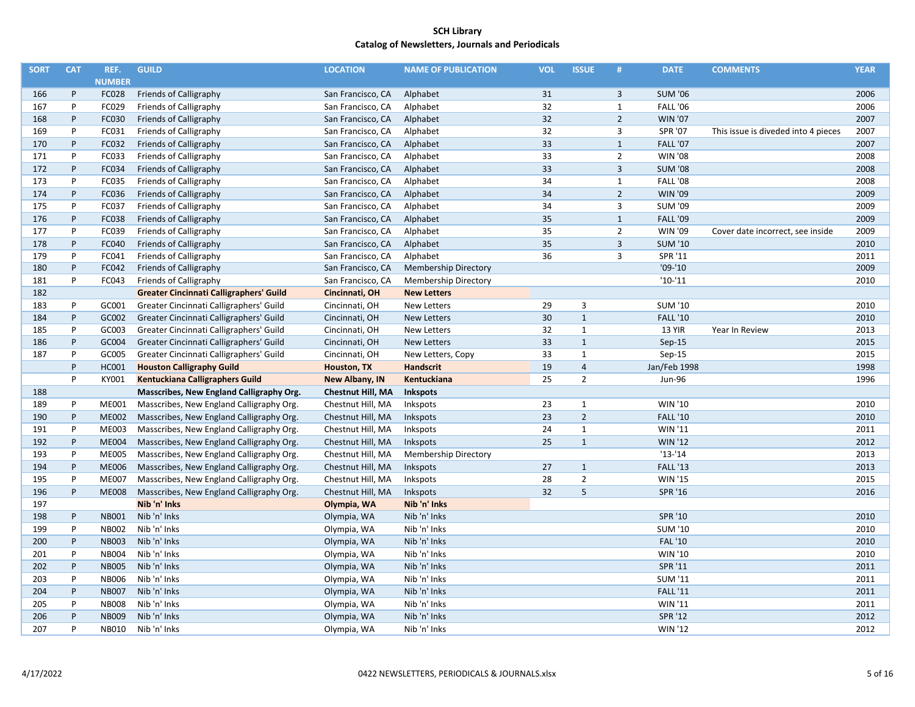| <b>SORT</b> | <b>CAT</b> | REF.          | <b>GUILD</b>                                   | <b>LOCATION</b>          | <b>NAME OF PUBLICATION</b>  | <b>VOL</b> | <b>ISSUE</b>   | #              | <b>DATE</b>     | <b>COMMENTS</b>                     | <b>YEAR</b> |
|-------------|------------|---------------|------------------------------------------------|--------------------------|-----------------------------|------------|----------------|----------------|-----------------|-------------------------------------|-------------|
|             |            | <b>NUMBER</b> |                                                |                          |                             |            |                |                |                 |                                     |             |
| 166         | P          | FC028         | Friends of Calligraphy                         | San Francisco, CA        | Alphabet                    | 31         |                | 3              | <b>SUM '06</b>  |                                     | 2006        |
| 167         | P          | FC029         | Friends of Calligraphy                         | San Francisco, CA        | Alphabet                    | 32         |                | $\mathbf{1}$   | <b>FALL '06</b> |                                     | 2006        |
| 168         | P          | FC030         | Friends of Calligraphy                         | San Francisco, CA        | Alphabet                    | 32         |                | $\overline{2}$ | <b>WIN '07</b>  |                                     | 2007        |
| 169         | P          | FC031         | Friends of Calligraphy                         | San Francisco, CA        | Alphabet                    | 32         |                | 3              | SPR '07         | This issue is diveded into 4 pieces | 2007        |
| 170         | P          | FC032         | Friends of Calligraphy                         | San Francisco, CA        | Alphabet                    | 33         |                | $\mathbf{1}$   | <b>FALL '07</b> |                                     | 2007        |
| 171         | P          | FC033         | Friends of Calligraphy                         | San Francisco, CA        | Alphabet                    | 33         |                | $\overline{2}$ | <b>WIN '08</b>  |                                     | 2008        |
| 172         | P          | FC034         | Friends of Calligraphy                         | San Francisco, CA        | Alphabet                    | 33         |                | $\overline{3}$ | <b>SUM '08</b>  |                                     | 2008        |
| 173         | P          | FC035         | Friends of Calligraphy                         | San Francisco, CA        | Alphabet                    | 34         |                | 1              | <b>FALL '08</b> |                                     | 2008        |
| 174         | P          | FC036         | Friends of Calligraphy                         | San Francisco, CA        | Alphabet                    | 34         |                | $\overline{2}$ | <b>WIN '09</b>  |                                     | 2009        |
| 175         | P          | FC037         | Friends of Calligraphy                         | San Francisco, CA        | Alphabet                    | 34         |                | $\overline{3}$ | <b>SUM '09</b>  |                                     | 2009        |
| 176         | P          | FC038         | Friends of Calligraphy                         | San Francisco, CA        | Alphabet                    | 35         |                | $\mathbf{1}$   | <b>FALL '09</b> |                                     | 2009        |
| 177         | P          | FC039         | Friends of Calligraphy                         | San Francisco, CA        | Alphabet                    | 35         |                | $\overline{2}$ | <b>WIN '09</b>  | Cover date incorrect, see inside    | 2009        |
| 178         | P          | FC040         | Friends of Calligraphy                         | San Francisco, CA        | Alphabet                    | 35         |                | $\overline{3}$ | <b>SUM '10</b>  |                                     | 2010        |
| 179         | P          | FC041         | Friends of Calligraphy                         | San Francisco, CA        | Alphabet                    | 36         |                | 3              | SPR '11         |                                     | 2011        |
| 180         | P          | FC042         | Friends of Calligraphy                         | San Francisco, CA        | <b>Membership Directory</b> |            |                |                | $'09-'10$       |                                     | 2009        |
| 181         | P          | FC043         | Friends of Calligraphy                         | San Francisco, CA        | Membership Directory        |            |                |                | $'10-'11$       |                                     | 2010        |
| 182         |            |               | <b>Greater Cincinnati Calligraphers' Guild</b> | Cincinnati, OH           | <b>New Letters</b>          |            |                |                |                 |                                     |             |
| 183         | P          | GC001         | Greater Cincinnati Calligraphers' Guild        | Cincinnati, OH           | <b>New Letters</b>          | 29         | 3              |                | <b>SUM '10</b>  |                                     | 2010        |
| 184         | P          | GC002         | Greater Cincinnati Calligraphers' Guild        | Cincinnati, OH           | <b>New Letters</b>          | 30         | $\mathbf{1}$   |                | <b>FALL '10</b> |                                     | 2010        |
| 185         | P          | GC003         | Greater Cincinnati Calligraphers' Guild        | Cincinnati, OH           | <b>New Letters</b>          | 32         | $\mathbf 1$    |                | 13 YIR          | Year In Review                      | 2013        |
| 186         | P          | GC004         | Greater Cincinnati Calligraphers' Guild        | Cincinnati, OH           | <b>New Letters</b>          | 33         | $\mathbf{1}$   |                | $Sep-15$        |                                     | 2015        |
| 187         | P          | GC005         | Greater Cincinnati Calligraphers' Guild        | Cincinnati, OH           | New Letters, Copy           | 33         | $\mathbf{1}$   |                | $Sep-15$        |                                     | 2015        |
|             | P          | <b>HC001</b>  | <b>Houston Calligraphy Guild</b>               | Houston, TX              | Handscrit                   | 19         | $\overline{4}$ |                | Jan/Feb 1998    |                                     | 1998        |
|             | P          | KY001         | Kentuckiana Calligraphers Guild                | New Albany, IN           | Kentuckiana                 | 25         | $\overline{2}$ |                | Jun-96          |                                     | 1996        |
| 188         |            |               | Masscribes, New England Calligraphy Org.       | <b>Chestnut Hill, MA</b> | Inkspots                    |            |                |                |                 |                                     |             |
| 189         | P          | ME001         | Masscribes, New England Calligraphy Org.       | Chestnut Hill, MA        | Inkspots                    | 23         | $\mathbf{1}$   |                | WIN '10         |                                     | 2010        |
| 190         | P          | <b>ME002</b>  | Masscribes, New England Calligraphy Org.       | Chestnut Hill, MA        | Inkspots                    | 23         | $\overline{2}$ |                | <b>FALL '10</b> |                                     | 2010        |
| 191         | P          | ME003         | Masscribes, New England Calligraphy Org.       | Chestnut Hill, MA        | Inkspots                    | 24         | $\mathbf 1$    |                | WIN '11         |                                     | 2011        |
| 192         | P          | <b>ME004</b>  | Masscribes, New England Calligraphy Org.       | Chestnut Hill, MA        | Inkspots                    | 25         | $\mathbf{1}$   |                | <b>WIN '12</b>  |                                     | 2012        |
| 193         | P          | <b>ME005</b>  | Masscribes, New England Calligraphy Org.       | Chestnut Hill, MA        | <b>Membership Directory</b> |            |                |                | $'13-'14$       |                                     | 2013        |
| 194         | P          | <b>ME006</b>  | Masscribes, New England Calligraphy Org.       | Chestnut Hill, MA        | Inkspots                    | 27         | $\mathbf{1}$   |                | <b>FALL '13</b> |                                     | 2013        |
| 195         | P          | <b>ME007</b>  | Masscribes, New England Calligraphy Org.       | Chestnut Hill, MA        | Inkspots                    | 28         | $\overline{2}$ |                | <b>WIN '15</b>  |                                     | 2015        |
| 196         | P          | <b>ME008</b>  | Masscribes, New England Calligraphy Org.       | Chestnut Hill, MA        | Inkspots                    | 32         | 5              |                | SPR '16         |                                     | 2016        |
| 197         |            |               | Nib 'n' Inks                                   | Olympia, WA              | Nib 'n' Inks                |            |                |                |                 |                                     |             |
| 198         | P          | <b>NB001</b>  | Nib 'n' Inks                                   | Olympia, WA              | Nib 'n' Inks                |            |                |                | SPR '10         |                                     | 2010        |
| 199         | P          | <b>NB002</b>  | Nib 'n' Inks                                   | Olympia, WA              | Nib 'n' Inks                |            |                |                | <b>SUM '10</b>  |                                     | 2010        |
| 200         | P          | <b>NB003</b>  | Nib 'n' Inks                                   | Olympia, WA              | Nib 'n' Inks                |            |                |                | <b>FAL '10</b>  |                                     | 2010        |
| 201         | P          | <b>NB004</b>  | Nib 'n' Inks                                   | Olympia, WA              | Nib 'n' Inks                |            |                |                | WIN '10         |                                     | 2010        |
| 202         | P          | <b>NB005</b>  | Nib 'n' Inks                                   | Olympia, WA              | Nib 'n' Inks                |            |                |                | SPR '11         |                                     | 2011        |
| 203         | P          | <b>NB006</b>  | Nib 'n' Inks                                   | Olympia, WA              | Nib 'n' Inks                |            |                |                | <b>SUM '11</b>  |                                     | 2011        |
| 204         | P          | <b>NB007</b>  | Nib 'n' Inks                                   | Olympia, WA              | Nib 'n' Inks                |            |                |                | <b>FALL '11</b> |                                     | 2011        |
| 205         | P          | <b>NB008</b>  | Nib 'n' Inks                                   | Olympia, WA              | Nib 'n' Inks                |            |                |                | <b>WIN '11</b>  |                                     | 2011        |
| 206         | P          | <b>NB009</b>  | Nib 'n' Inks                                   | Olympia, WA              | Nib 'n' Inks                |            |                |                | SPR '12         |                                     | 2012        |
| 207         | P          | NB010         | Nib 'n' Inks                                   | Olympia, WA              | Nib 'n' Inks                |            |                |                | <b>WIN '12</b>  |                                     | 2012        |
|             |            |               |                                                |                          |                             |            |                |                |                 |                                     |             |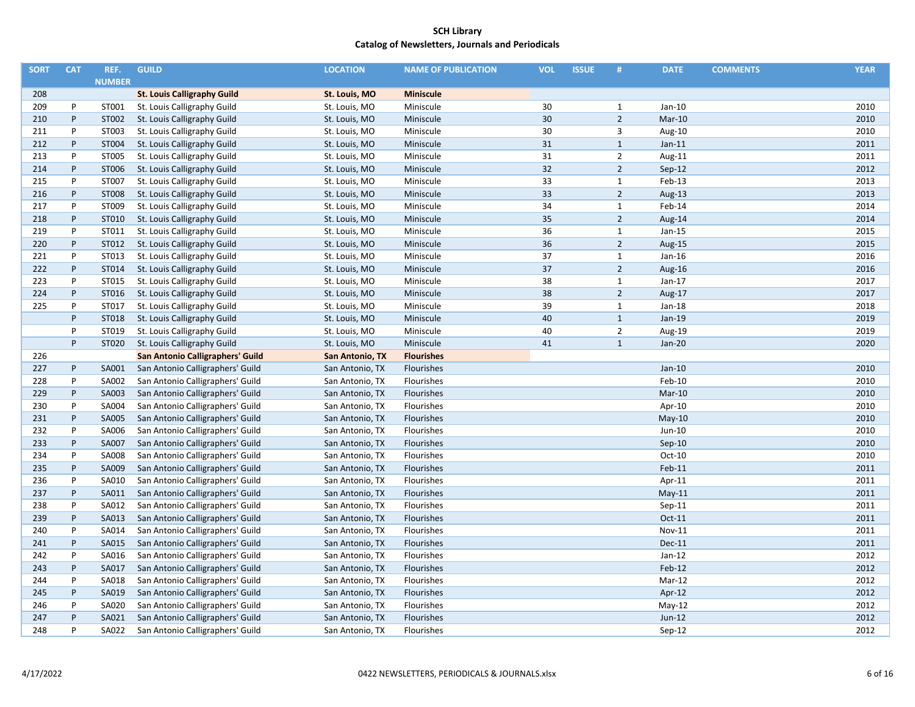| <b>SORT</b> | <b>CAT</b>   | REF.          | <b>GUILD</b>                       | <b>LOCATION</b> | <b>NAME OF PUBLICATION</b> | <b>VOL</b> | <b>ISSUE</b> | #              | <b>DATE</b>   | <b>COMMENTS</b> | <b>YEAR</b> |
|-------------|--------------|---------------|------------------------------------|-----------------|----------------------------|------------|--------------|----------------|---------------|-----------------|-------------|
|             |              | <b>NUMBER</b> |                                    |                 |                            |            |              |                |               |                 |             |
| 208         |              |               | <b>St. Louis Calligraphy Guild</b> | St. Louis, MO   | <b>Miniscule</b>           |            |              |                |               |                 |             |
| 209         | P            | ST001         | St. Louis Calligraphy Guild        | St. Louis, MO   | Miniscule                  | 30         |              | $\mathbf{1}$   | Jan-10        |                 | 2010        |
| 210         | P            | ST002         | St. Louis Calligraphy Guild        | St. Louis, MO   | Miniscule                  | 30         |              | $\overline{2}$ | Mar-10        |                 | 2010        |
| 211         | P            | ST003         | St. Louis Calligraphy Guild        | St. Louis, MO   | Miniscule                  | 30         |              | $\overline{3}$ | Aug-10        |                 | 2010        |
| 212         | P            | ST004         | St. Louis Calligraphy Guild        | St. Louis, MO   | Miniscule                  | 31         |              | $\mathbf{1}$   | $Jan-11$      |                 | 2011        |
| 213         | P            | ST005         | St. Louis Calligraphy Guild        | St. Louis, MO   | Miniscule                  | 31         |              | $\overline{2}$ | Aug-11        |                 | 2011        |
| 214         | $\, {\sf P}$ | ST006         | St. Louis Calligraphy Guild        | St. Louis, MO   | Miniscule                  | 32         |              | $\overline{2}$ | Sep-12        |                 | 2012        |
| 215         | P            | ST007         | St. Louis Calligraphy Guild        | St. Louis, MO   | Miniscule                  | 33         |              | $\mathbf{1}$   | Feb-13        |                 | 2013        |
| 216         | P            | ST008         | St. Louis Calligraphy Guild        | St. Louis, MO   | Miniscule                  | 33         |              | $\overline{2}$ | Aug-13        |                 | 2013        |
| 217         | P            | ST009         | St. Louis Calligraphy Guild        | St. Louis, MO   | Miniscule                  | 34         |              | $\mathbf{1}$   | Feb-14        |                 | 2014        |
| 218         | P            | ST010         | St. Louis Calligraphy Guild        | St. Louis, MO   | Miniscule                  | 35         |              | $\overline{2}$ | Aug-14        |                 | 2014        |
| 219         | P            | ST011         | St. Louis Calligraphy Guild        | St. Louis, MO   | Miniscule                  | 36         |              | $\mathbf{1}$   | $Jan-15$      |                 | 2015        |
| 220         | P            | ST012         | St. Louis Calligraphy Guild        | St. Louis, MO   | Miniscule                  | 36         |              | $\overline{2}$ | Aug-15        |                 | 2015        |
| 221         | P            | ST013         | St. Louis Calligraphy Guild        | St. Louis, MO   | Miniscule                  | 37         |              | $\mathbf{1}$   | $Jan-16$      |                 | 2016        |
| 222         | P            | ST014         | St. Louis Calligraphy Guild        | St. Louis, MO   | Miniscule                  | 37         |              | $\overline{2}$ | Aug-16        |                 | 2016        |
| 223         | P            | ST015         | St. Louis Calligraphy Guild        | St. Louis, MO   | Miniscule                  | 38         |              | $\mathbf{1}$   | $Jan-17$      |                 | 2017        |
| 224         | P            | ST016         | St. Louis Calligraphy Guild        | St. Louis, MO   | Miniscule                  | 38         |              | $\overline{2}$ | Aug-17        |                 | 2017        |
| 225         | P            | ST017         | St. Louis Calligraphy Guild        | St. Louis, MO   | Miniscule                  | 39         |              | $\mathbf{1}$   | $Jan-18$      |                 | 2018        |
|             | P            | ST018         | St. Louis Calligraphy Guild        | St. Louis, MO   | Miniscule                  | 40         |              | $\mathbf{1}$   | $Jan-19$      |                 | 2019        |
|             | P            | ST019         | St. Louis Calligraphy Guild        | St. Louis, MO   | Miniscule                  | 40         |              | $\overline{2}$ | Aug-19        |                 | 2019        |
|             | P            | ST020         | St. Louis Calligraphy Guild        | St. Louis, MO   | Miniscule                  | 41         |              | $\mathbf{1}$   | Jan-20        |                 | 2020        |
| 226         |              |               | San Antonio Calligraphers' Guild   | San Antonio, TX | <b>Flourishes</b>          |            |              |                |               |                 |             |
| 227         | P            | SA001         | San Antonio Calligraphers' Guild   | San Antonio, TX | Flourishes                 |            |              |                | Jan-10        |                 | 2010        |
| 228         | P            | SA002         | San Antonio Calligraphers' Guild   | San Antonio, TX | Flourishes                 |            |              |                | Feb-10        |                 | 2010        |
| 229         | P            | SA003         | San Antonio Calligraphers' Guild   | San Antonio, TX | Flourishes                 |            |              |                | Mar-10        |                 | 2010        |
| 230         | P            | SA004         | San Antonio Calligraphers' Guild   | San Antonio, TX | Flourishes                 |            |              |                | Apr-10        |                 | 2010        |
| 231         | P            | SA005         | San Antonio Calligraphers' Guild   | San Antonio, TX | Flourishes                 |            |              |                | $May-10$      |                 | 2010        |
| 232         | P            | SA006         | San Antonio Calligraphers' Guild   | San Antonio, TX | Flourishes                 |            |              |                | Jun-10        |                 | 2010        |
| 233         | P            | SA007         | San Antonio Calligraphers' Guild   | San Antonio, TX | Flourishes                 |            |              |                | $Sep-10$      |                 | 2010        |
| 234         | P            | SA008         | San Antonio Calligraphers' Guild   | San Antonio, TX | Flourishes                 |            |              |                | $Oct-10$      |                 | 2010        |
| 235         | P            | SA009         | San Antonio Calligraphers' Guild   | San Antonio, TX | Flourishes                 |            |              |                | Feb-11        |                 | 2011        |
| 236         | P            | SA010         | San Antonio Calligraphers' Guild   | San Antonio, TX | Flourishes                 |            |              |                | Apr-11        |                 | 2011        |
| 237         | P            | SA011         | San Antonio Calligraphers' Guild   | San Antonio, TX | Flourishes                 |            |              |                | $May-11$      |                 | 2011        |
| 238         | P            | SA012         | San Antonio Calligraphers' Guild   | San Antonio, TX | Flourishes                 |            |              |                | $Sep-11$      |                 | 2011        |
| 239         | P            | SA013         | San Antonio Calligraphers' Guild   | San Antonio, TX | Flourishes                 |            |              |                | Oct-11        |                 | 2011        |
| 240         | P            | SA014         | San Antonio Calligraphers' Guild   | San Antonio, TX | Flourishes                 |            |              |                | Nov-11        |                 | 2011        |
| 241         | P            | SA015         | San Antonio Calligraphers' Guild   | San Antonio, TX | Flourishes                 |            |              |                | <b>Dec-11</b> |                 | 2011        |
| 242         | P            | SA016         | San Antonio Calligraphers' Guild   | San Antonio, TX | Flourishes                 |            |              |                | $Jan-12$      |                 | 2012        |
| 243         | P            | SA017         | San Antonio Calligraphers' Guild   | San Antonio, TX | Flourishes                 |            |              |                | Feb-12        |                 | 2012        |
| 244         | P            | SA018         | San Antonio Calligraphers' Guild   | San Antonio, TX | Flourishes                 |            |              |                | Mar-12        |                 | 2012        |
| 245         | P            | SA019         | San Antonio Calligraphers' Guild   | San Antonio, TX | Flourishes                 |            |              |                | Apr-12        |                 | 2012        |
| 246         | P            | SA020         | San Antonio Calligraphers' Guild   | San Antonio, TX | Flourishes                 |            |              |                | $May-12$      |                 | 2012        |
| 247         | P            | SA021         | San Antonio Calligraphers' Guild   | San Antonio, TX | Flourishes                 |            |              |                | $Jun-12$      |                 | 2012        |
| 248         | P            | SA022         | San Antonio Calligraphers' Guild   | San Antonio, TX | Flourishes                 |            |              |                | $Sep-12$      |                 | 2012        |
|             |              |               |                                    |                 |                            |            |              |                |               |                 |             |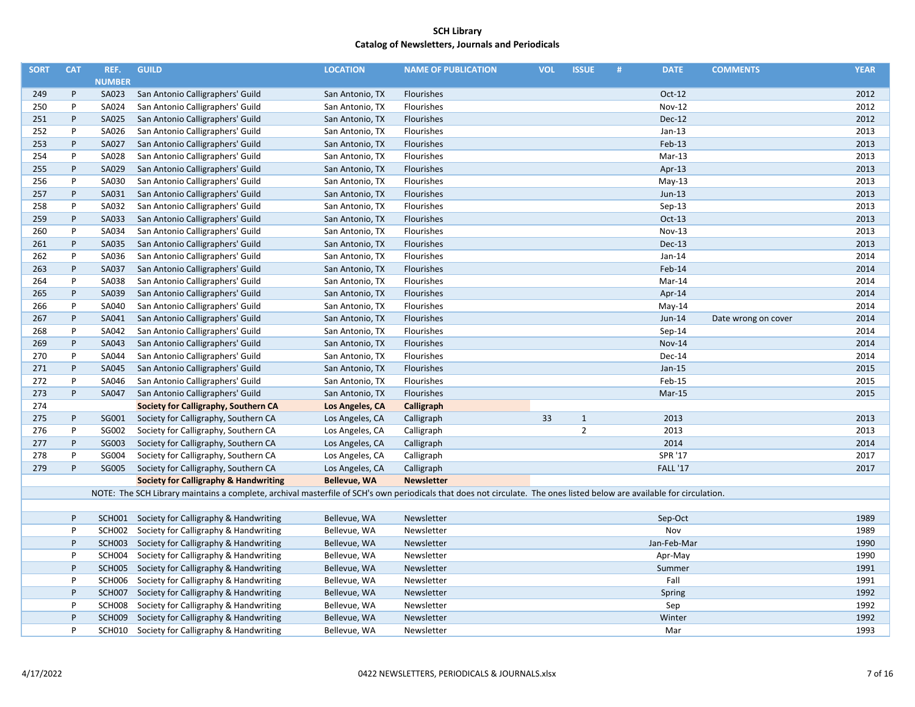| <b>SORT</b> | <b>CAT</b> | REF.          | <b>GUILD</b>                                                                                                                                                           | <b>LOCATION</b>     | <b>NAME OF PUBLICATION</b> | <b>VOL</b> | <b>ISSUE</b>   | # | <b>DATE</b>     | <b>COMMENTS</b>     | <b>YEAR</b> |
|-------------|------------|---------------|------------------------------------------------------------------------------------------------------------------------------------------------------------------------|---------------------|----------------------------|------------|----------------|---|-----------------|---------------------|-------------|
|             |            | <b>NUMBER</b> |                                                                                                                                                                        |                     |                            |            |                |   |                 |                     |             |
| 249         | P          | SA023         | San Antonio Calligraphers' Guild                                                                                                                                       | San Antonio, TX     | Flourishes                 |            |                |   | $Oct-12$        |                     | 2012        |
| 250         | P          | SA024         | San Antonio Calligraphers' Guild                                                                                                                                       | San Antonio, TX     | Flourishes                 |            |                |   | <b>Nov-12</b>   |                     | 2012        |
| 251         | P          | SA025         | San Antonio Calligraphers' Guild                                                                                                                                       | San Antonio, TX     | Flourishes                 |            |                |   | <b>Dec-12</b>   |                     | 2012        |
| 252         | P          | SA026         | San Antonio Calligraphers' Guild                                                                                                                                       | San Antonio, TX     | Flourishes                 |            |                |   | $Jan-13$        |                     | 2013        |
| 253         | P          | SA027         | San Antonio Calligraphers' Guild                                                                                                                                       | San Antonio, TX     | Flourishes                 |            |                |   | Feb-13          |                     | 2013        |
| 254         | P          | SA028         | San Antonio Calligraphers' Guild                                                                                                                                       | San Antonio, TX     | Flourishes                 |            |                |   | Mar-13          |                     | 2013        |
| 255         | P          | SA029         | San Antonio Calligraphers' Guild                                                                                                                                       | San Antonio, TX     | Flourishes                 |            |                |   | Apr-13          |                     | 2013        |
| 256         | P          | SA030         | San Antonio Calligraphers' Guild                                                                                                                                       | San Antonio, TX     | Flourishes                 |            |                |   | $May-13$        |                     | 2013        |
| 257         | P          | SA031         | San Antonio Calligraphers' Guild                                                                                                                                       | San Antonio, TX     | Flourishes                 |            |                |   | $Jun-13$        |                     | 2013        |
| 258         | P          | SA032         | San Antonio Calligraphers' Guild                                                                                                                                       | San Antonio, TX     | Flourishes                 |            |                |   | $Sep-13$        |                     | 2013        |
| 259         | P          | SA033         | San Antonio Calligraphers' Guild                                                                                                                                       | San Antonio, TX     | Flourishes                 |            |                |   | $Oct-13$        |                     | 2013        |
| 260         | P          | SA034         | San Antonio Calligraphers' Guild                                                                                                                                       | San Antonio, TX     | Flourishes                 |            |                |   | Nov-13          |                     | 2013        |
| 261         | P          | SA035         | San Antonio Calligraphers' Guild                                                                                                                                       | San Antonio, TX     | Flourishes                 |            |                |   | Dec-13          |                     | 2013        |
| 262         | P          | SA036         | San Antonio Calligraphers' Guild                                                                                                                                       | San Antonio, TX     | Flourishes                 |            |                |   | $Jan-14$        |                     | 2014        |
| 263         | P          | SA037         | San Antonio Calligraphers' Guild                                                                                                                                       | San Antonio, TX     | Flourishes                 |            |                |   | Feb-14          |                     | 2014        |
| 264         | P          | SA038         | San Antonio Calligraphers' Guild                                                                                                                                       | San Antonio, TX     | Flourishes                 |            |                |   | Mar-14          |                     | 2014        |
| 265         | P          | SA039         | San Antonio Calligraphers' Guild                                                                                                                                       | San Antonio, TX     | Flourishes                 |            |                |   | Apr-14          |                     | 2014        |
| 266         | P          | SA040         | San Antonio Calligraphers' Guild                                                                                                                                       | San Antonio, TX     | Flourishes                 |            |                |   | May-14          |                     | 2014        |
| 267         | P          | SA041         | San Antonio Calligraphers' Guild                                                                                                                                       | San Antonio, TX     | Flourishes                 |            |                |   | $Jun-14$        | Date wrong on cover | 2014        |
| 268         | P          | SA042         | San Antonio Calligraphers' Guild                                                                                                                                       | San Antonio, TX     | Flourishes                 |            |                |   | Sep-14          |                     | 2014        |
| 269         | P          | SA043         | San Antonio Calligraphers' Guild                                                                                                                                       | San Antonio, TX     | Flourishes                 |            |                |   | <b>Nov-14</b>   |                     | 2014        |
| 270         | P          | SA044         | San Antonio Calligraphers' Guild                                                                                                                                       | San Antonio, TX     | Flourishes                 |            |                |   | Dec-14          |                     | 2014        |
| 271         | P          | SA045         | San Antonio Calligraphers' Guild                                                                                                                                       | San Antonio, TX     | Flourishes                 |            |                |   | $Jan-15$        |                     | 2015        |
| 272         | P          | SA046         | San Antonio Calligraphers' Guild                                                                                                                                       | San Antonio, TX     | Flourishes                 |            |                |   | Feb-15          |                     | 2015        |
| 273         | P          | SA047         | San Antonio Calligraphers' Guild                                                                                                                                       | San Antonio, TX     | Flourishes                 |            |                |   | Mar-15          |                     | 2015        |
| 274         |            |               | Society for Calligraphy, Southern CA                                                                                                                                   | Los Angeles, CA     | Calligraph                 |            |                |   |                 |                     |             |
| 275         | P          | SG001         | Society for Calligraphy, Southern CA                                                                                                                                   | Los Angeles, CA     | Calligraph                 | 33         | $\mathbf{1}$   |   | 2013            |                     | 2013        |
| 276         | P          | SG002         | Society for Calligraphy, Southern CA                                                                                                                                   | Los Angeles, CA     | Calligraph                 |            | $\overline{2}$ |   | 2013            |                     | 2013        |
| 277         | P          | SG003         | Society for Calligraphy, Southern CA                                                                                                                                   | Los Angeles, CA     | Calligraph                 |            |                |   | 2014            |                     | 2014        |
| 278         | P          | SG004         | Society for Calligraphy, Southern CA                                                                                                                                   | Los Angeles, CA     | Calligraph                 |            |                |   | SPR '17         |                     | 2017        |
| 279         | P          | SG005         | Society for Calligraphy, Southern CA                                                                                                                                   | Los Angeles, CA     | Calligraph                 |            |                |   | <b>FALL '17</b> |                     | 2017        |
|             |            |               | <b>Society for Calligraphy &amp; Handwriting</b>                                                                                                                       | <b>Bellevue, WA</b> | <b>Newsletter</b>          |            |                |   |                 |                     |             |
|             |            |               | NOTE: The SCH Library maintains a complete, archival masterfile of SCH's own periodicals that does not circulate. The ones listed below are available for circulation. |                     |                            |            |                |   |                 |                     |             |
|             |            |               |                                                                                                                                                                        |                     |                            |            |                |   |                 |                     |             |
|             | P          |               | SCH001 Society for Calligraphy & Handwriting                                                                                                                           | Bellevue, WA        | Newsletter                 |            |                |   | Sep-Oct         |                     | 1989        |
|             | P          | SCH002        | Society for Calligraphy & Handwriting                                                                                                                                  | Bellevue, WA        | Newsletter                 |            |                |   | Nov             |                     | 1989        |
|             | P          | <b>SCH003</b> | Society for Calligraphy & Handwriting                                                                                                                                  | Bellevue, WA        | Newsletter                 |            |                |   | Jan-Feb-Mar     |                     | 1990        |
|             | P          | SCH004        | Society for Calligraphy & Handwriting                                                                                                                                  | Bellevue, WA        | Newsletter                 |            |                |   | Apr-May         |                     | 1990        |
|             | P          |               | SCH005 Society for Calligraphy & Handwriting                                                                                                                           | Bellevue, WA        | Newsletter                 |            |                |   | Summer          |                     | 1991        |
|             | P          | <b>SCH006</b> | Society for Calligraphy & Handwriting                                                                                                                                  | Bellevue, WA        | Newsletter                 |            |                |   | Fall            |                     | 1991        |
|             | P          | <b>SCH007</b> | Society for Calligraphy & Handwriting                                                                                                                                  | Bellevue, WA        | Newsletter                 |            |                |   | Spring          |                     | 1992        |
|             | P          | <b>SCH008</b> | Society for Calligraphy & Handwriting                                                                                                                                  | Bellevue, WA        | Newsletter                 |            |                |   | Sep             |                     | 1992        |
|             | P          | <b>SCH009</b> | Society for Calligraphy & Handwriting                                                                                                                                  | Bellevue, WA        | Newsletter                 |            |                |   | Winter          |                     | 1992        |
|             | P          | <b>SCH010</b> | Society for Calligraphy & Handwriting                                                                                                                                  | Bellevue, WA        | Newsletter                 |            |                |   | Mar             |                     | 1993        |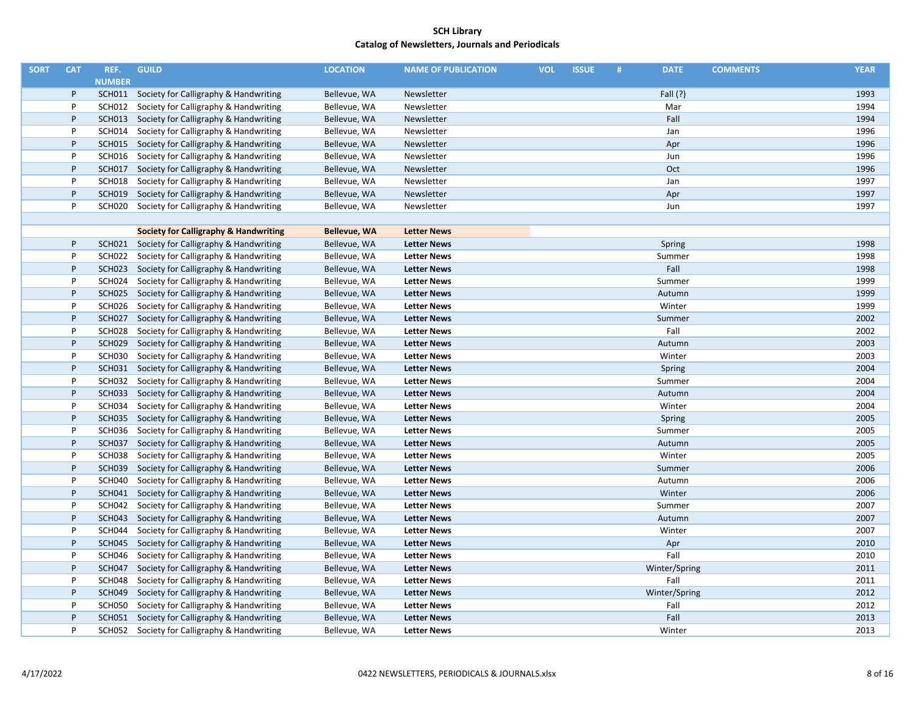| <b>SORT</b> | <b>CAT</b> | REF.          | <b>GUILD</b>                                     | <b>LOCATION</b>     | <b>NAME OF PUBLICATION</b> | <b>VOL</b> | <b>ISSUE</b> | # | <b>DATE</b>   | <b>COMMENTS</b> | <b>YEAR</b> |
|-------------|------------|---------------|--------------------------------------------------|---------------------|----------------------------|------------|--------------|---|---------------|-----------------|-------------|
|             |            | <b>NUMBER</b> |                                                  |                     |                            |            |              |   |               |                 |             |
|             | P          |               | SCH011 Society for Calligraphy & Handwriting     | Bellevue, WA        | Newsletter                 |            |              |   | Fall $(?)$    |                 | 1993        |
|             | P          |               | SCH012 Society for Calligraphy & Handwriting     | Bellevue, WA        | Newsletter                 |            |              |   | Mar           |                 | 1994        |
|             | P          |               | SCH013 Society for Calligraphy & Handwriting     | Bellevue, WA        | Newsletter                 |            |              |   | Fall          |                 | 1994        |
|             | P          |               | SCH014 Society for Calligraphy & Handwriting     | Bellevue, WA        | Newsletter                 |            |              |   | Jan           |                 | 1996        |
|             | P          |               | SCH015 Society for Calligraphy & Handwriting     | Bellevue, WA        | Newsletter                 |            |              |   | Apr           |                 | 1996        |
|             | P          | SCH016        | Society for Calligraphy & Handwriting            | Bellevue, WA        | Newsletter                 |            |              |   | Jun           |                 | 1996        |
|             | P          |               | SCH017 Society for Calligraphy & Handwriting     | Bellevue, WA        | Newsletter                 |            |              |   | Oct           |                 | 1996        |
|             | P          | <b>SCH018</b> | Society for Calligraphy & Handwriting            | Bellevue, WA        | Newsletter                 |            |              |   | Jan           |                 | 1997        |
|             | P          |               | SCH019 Society for Calligraphy & Handwriting     | Bellevue, WA        | Newsletter                 |            |              |   | Apr           |                 | 1997        |
|             | P          | SCH020        | Society for Calligraphy & Handwriting            | Bellevue, WA        | Newsletter                 |            |              |   | Jun           |                 | 1997        |
|             |            |               |                                                  |                     |                            |            |              |   |               |                 |             |
|             |            |               | <b>Society for Calligraphy &amp; Handwriting</b> | <b>Bellevue, WA</b> | <b>Letter News</b>         |            |              |   |               |                 |             |
|             | P          |               | SCH021 Society for Calligraphy & Handwriting     | Bellevue, WA        | <b>Letter News</b>         |            |              |   | Spring        |                 | 1998        |
|             | P          | SCH022        | Society for Calligraphy & Handwriting            | Bellevue, WA        | <b>Letter News</b>         |            |              |   | Summer        |                 | 1998        |
|             | P          |               | SCH023 Society for Calligraphy & Handwriting     | Bellevue, WA        | <b>Letter News</b>         |            |              |   | Fall          |                 | 1998        |
|             | P          | SCH024        | Society for Calligraphy & Handwriting            | Bellevue, WA        | <b>Letter News</b>         |            |              |   | Summer        |                 | 1999        |
|             | P          |               | SCH025 Society for Calligraphy & Handwriting     | Bellevue, WA        | <b>Letter News</b>         |            |              |   | Autumn        |                 | 1999        |
|             | P          | SCH026        | Society for Calligraphy & Handwriting            | Bellevue, WA        | <b>Letter News</b>         |            |              |   | Winter        |                 | 1999        |
|             | P          |               | SCH027 Society for Calligraphy & Handwriting     | Bellevue, WA        | <b>Letter News</b>         |            |              |   | Summer        |                 | 2002        |
|             | P          |               | SCH028 Society for Calligraphy & Handwriting     | Bellevue, WA        | <b>Letter News</b>         |            |              |   | Fall          |                 | 2002        |
|             | P          |               | SCH029 Society for Calligraphy & Handwriting     | Bellevue, WA        | <b>Letter News</b>         |            |              |   | Autumn        |                 | 2003        |
|             | P          | SCH030        | Society for Calligraphy & Handwriting            | Bellevue, WA        | <b>Letter News</b>         |            |              |   | Winter        |                 | 2003        |
|             | P          |               | SCH031 Society for Calligraphy & Handwriting     | Bellevue, WA        | <b>Letter News</b>         |            |              |   | Spring        |                 | 2004        |
|             | P          |               | SCH032 Society for Calligraphy & Handwriting     | Bellevue, WA        | <b>Letter News</b>         |            |              |   | Summer        |                 | 2004        |
|             | P          |               | SCH033 Society for Calligraphy & Handwriting     | Bellevue, WA        | <b>Letter News</b>         |            |              |   | Autumn        |                 | 2004        |
|             | P          | SCH034        | Society for Calligraphy & Handwriting            | Bellevue, WA        | <b>Letter News</b>         |            |              |   | Winter        |                 | 2004        |
|             | P          |               | SCH035 Society for Calligraphy & Handwriting     | Bellevue, WA        | <b>Letter News</b>         |            |              |   | Spring        |                 | 2005        |
|             | P          |               | SCH036 Society for Calligraphy & Handwriting     | Bellevue, WA        | <b>Letter News</b>         |            |              |   | Summer        |                 | 2005        |
|             | P          |               | SCH037 Society for Calligraphy & Handwriting     | Bellevue, WA        | <b>Letter News</b>         |            |              |   | Autumn        |                 | 2005        |
|             | P          | SCH038        | Society for Calligraphy & Handwriting            | Bellevue, WA        | <b>Letter News</b>         |            |              |   | Winter        |                 | 2005        |
|             | P          | <b>SCH039</b> | Society for Calligraphy & Handwriting            | Bellevue, WA        | <b>Letter News</b>         |            |              |   | Summer        |                 | 2006        |
|             | P          | SCH040        | Society for Calligraphy & Handwriting            | Bellevue, WA        | <b>Letter News</b>         |            |              |   | Autumn        |                 | 2006        |
|             | P          |               | SCH041 Society for Calligraphy & Handwriting     | Bellevue, WA        | <b>Letter News</b>         |            |              |   | Winter        |                 | 2006        |
|             | P          |               | SCH042 Society for Calligraphy & Handwriting     | Bellevue, WA        | <b>Letter News</b>         |            |              |   | Summer        |                 | 2007        |
|             | P          | SCH043        | Society for Calligraphy & Handwriting            | Bellevue, WA        | <b>Letter News</b>         |            |              |   | Autumn        |                 | 2007        |
|             | P          |               | SCH044 Society for Calligraphy & Handwriting     | Bellevue, WA        | <b>Letter News</b>         |            |              |   | Winter        |                 | 2007        |
|             | P          |               | SCH045 Society for Calligraphy & Handwriting     | Bellevue, WA        | <b>Letter News</b>         |            |              |   | Apr           |                 | 2010        |
|             | P          | SCH046        | Society for Calligraphy & Handwriting            | Bellevue, WA        | <b>Letter News</b>         |            |              |   | Fall          |                 | 2010        |
|             | P          | <b>SCH047</b> | Society for Calligraphy & Handwriting            | Bellevue, WA        | <b>Letter News</b>         |            |              |   | Winter/Spring |                 | 2011        |
|             | P          | SCH048        | Society for Calligraphy & Handwriting            | Bellevue, WA        | <b>Letter News</b>         |            |              |   | Fall          |                 | 2011        |
|             | $\sf P$    |               | SCH049 Society for Calligraphy & Handwriting     | Bellevue, WA        | <b>Letter News</b>         |            |              |   | Winter/Spring |                 | 2012        |
|             | P          | SCH050        | Society for Calligraphy & Handwriting            | Bellevue, WA        | <b>Letter News</b>         |            |              |   | Fall          |                 | 2012        |
|             | P          |               | SCH051 Society for Calligraphy & Handwriting     | Bellevue, WA        | <b>Letter News</b>         |            |              |   | Fall          |                 | 2013        |
|             | P          |               | SCH052 Society for Calligraphy & Handwriting     | Bellevue, WA        | <b>Letter News</b>         |            |              |   | Winter        |                 | 2013        |
|             |            |               |                                                  |                     |                            |            |              |   |               |                 |             |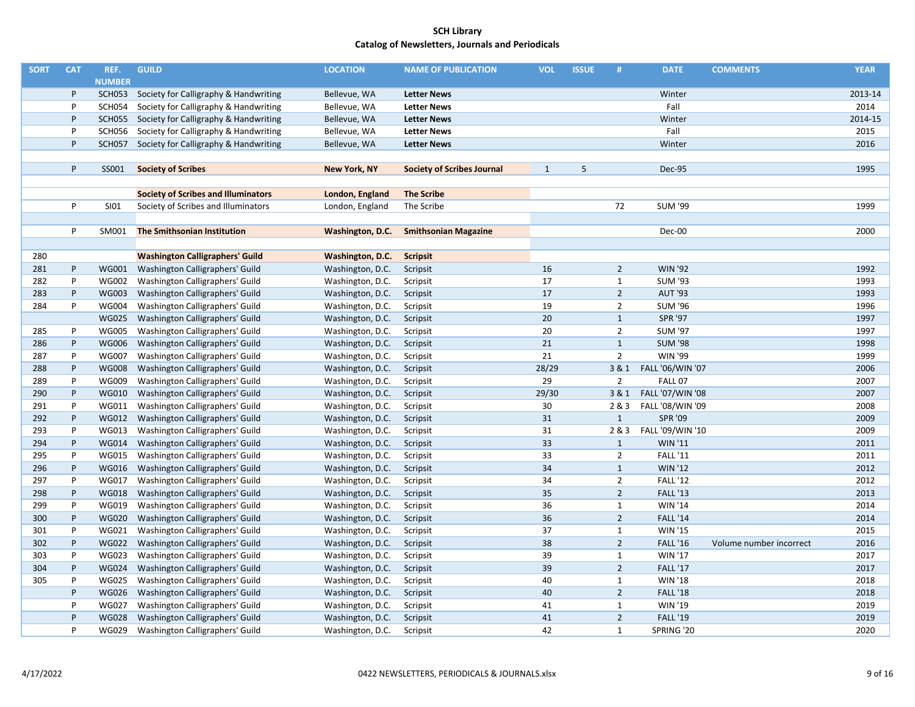| <b>SORT</b> | <b>CAT</b> | REF.          | <b>GUILD</b>                                 | <b>LOCATION</b>     | <b>NAME OF PUBLICATION</b>        | <b>VOL</b> | <b>ISSUE</b> | #              | <b>DATE</b>      | <b>COMMENTS</b>         | <b>YEAR</b> |
|-------------|------------|---------------|----------------------------------------------|---------------------|-----------------------------------|------------|--------------|----------------|------------------|-------------------------|-------------|
|             |            | <b>NUMBER</b> |                                              |                     |                                   |            |              |                |                  |                         |             |
|             | P          | <b>SCH053</b> | Society for Calligraphy & Handwriting        | Bellevue, WA        | <b>Letter News</b>                |            |              |                | Winter           |                         | 2013-14     |
|             | P          | <b>SCH054</b> | Society for Calligraphy & Handwriting        | Bellevue, WA        | <b>Letter News</b>                |            |              |                | Fall             |                         | 2014        |
|             | P          |               | SCH055 Society for Calligraphy & Handwriting | Bellevue, WA        | <b>Letter News</b>                |            |              |                | Winter           |                         | 2014-15     |
|             | P          | <b>SCH056</b> | Society for Calligraphy & Handwriting        | Bellevue, WA        | <b>Letter News</b>                |            |              |                | Fall             |                         | 2015        |
|             | P          | <b>SCH057</b> | Society for Calligraphy & Handwriting        | Bellevue, WA        | <b>Letter News</b>                |            |              |                | Winter           |                         | 2016        |
|             |            |               |                                              |                     |                                   |            |              |                |                  |                         |             |
|             | P          | SS001         | <b>Society of Scribes</b>                    | <b>New York, NY</b> | <b>Society of Scribes Journal</b> | 1          | 5            |                | Dec-95           |                         | 1995        |
|             |            |               |                                              |                     |                                   |            |              |                |                  |                         |             |
|             |            |               | <b>Society of Scribes and Illuminators</b>   | London, England     | <b>The Scribe</b>                 |            |              |                |                  |                         |             |
|             | P          | SI01          | Society of Scribes and Illuminators          | London, England     | The Scribe                        |            |              | 72             | <b>SUM '99</b>   |                         | 1999        |
|             |            |               |                                              |                     |                                   |            |              |                |                  |                         |             |
|             | P          | SM001         | <b>The Smithsonian Institution</b>           | Washington, D.C.    | <b>Smithsonian Magazine</b>       |            |              |                | Dec-00           |                         | 2000        |
|             |            |               |                                              |                     |                                   |            |              |                |                  |                         |             |
| 280         |            |               | <b>Washington Calligraphers' Guild</b>       | Washington, D.C.    | <b>Scripsit</b>                   |            |              |                |                  |                         |             |
| 281         | P          | <b>WG001</b>  | Washington Calligraphers' Guild              | Washington, D.C.    | Scripsit                          | 16         |              | $\overline{2}$ | <b>WIN '92</b>   |                         | 1992        |
| 282         | P          | <b>WG002</b>  | Washington Calligraphers' Guild              | Washington, D.C.    | Scripsit                          | 17         |              | $\mathbf{1}$   | <b>SUM '93</b>   |                         | 1993        |
| 283         | P          | <b>WG003</b>  | Washington Calligraphers' Guild              | Washington, D.C.    | Scripsit                          | 17         |              | $\overline{2}$ | <b>AUT '93</b>   |                         | 1993        |
| 284         | P          | <b>WG004</b>  | Washington Calligraphers' Guild              | Washington, D.C.    | Scripsit                          | 19         |              | $\overline{2}$ | <b>SUM '96</b>   |                         | 1996        |
|             |            | <b>WG025</b>  | Washington Calligraphers' Guild              | Washington, D.C.    | Scripsit                          | 20         |              | $\mathbf{1}$   | <b>SPR '97</b>   |                         | 1997        |
| 285         | P          | <b>WG005</b>  | Washington Calligraphers' Guild              | Washington, D.C.    | Scripsit                          | 20         |              | $\overline{2}$ | <b>SUM '97</b>   |                         | 1997        |
| 286         | P          | <b>WG006</b>  | Washington Calligraphers' Guild              | Washington, D.C.    | Scripsit                          | 21         |              | $\mathbf{1}$   | <b>SUM '98</b>   |                         | 1998        |
| 287         | P          | <b>WG007</b>  | Washington Calligraphers' Guild              | Washington, D.C.    | Scripsit                          | 21         |              | $\overline{2}$ | <b>WIN '99</b>   |                         | 1999        |
| 288         | P          | <b>WG008</b>  | Washington Calligraphers' Guild              | Washington, D.C.    | Scripsit                          | 28/29      |              | 3 & 1          | FALL '06/WIN '07 |                         | 2006        |
| 289         | P          | <b>WG009</b>  | Washington Calligraphers' Guild              | Washington, D.C.    | Scripsit                          | 29         |              | $\overline{2}$ | FALL 07          |                         | 2007        |
| 290         | P          | <b>WG010</b>  | Washington Calligraphers' Guild              | Washington, D.C.    | Scripsit                          | 29/30      |              | 3 & 1          | FALL '07/WIN '08 |                         | 2007        |
| 291         | P          | WG011         | Washington Calligraphers' Guild              | Washington, D.C.    | Scripsit                          | 30         |              | 2 & 3          | FALL '08/WIN '09 |                         | 2008        |
| 292         | P          | <b>WG012</b>  | Washington Calligraphers' Guild              | Washington, D.C.    | Scripsit                          | 31         |              | $\mathbf{1}$   | <b>SPR '09</b>   |                         | 2009        |
| 293         | P          | WG013         | Washington Calligraphers' Guild              | Washington, D.C.    | Scripsit                          | 31         |              | 2 & 3          | FALL '09/WIN '10 |                         | 2009        |
| 294         | P          | <b>WG014</b>  | Washington Calligraphers' Guild              | Washington, D.C.    | Scripsit                          | 33         |              | $\mathbf{1}$   | <b>WIN '11</b>   |                         | 2011        |
| 295         | P          | <b>WG015</b>  | Washington Calligraphers' Guild              | Washington, D.C.    | Scripsit                          | 33         |              | $\overline{2}$ | <b>FALL '11</b>  |                         | 2011        |
| 296         | P          | <b>WG016</b>  | Washington Calligraphers' Guild              | Washington, D.C.    | Scripsit                          | 34         |              | $\mathbf{1}$   | <b>WIN '12</b>   |                         | 2012        |
| 297         | P          | <b>WG017</b>  | Washington Calligraphers' Guild              | Washington, D.C.    | Scripsit                          | 34         |              | $\overline{2}$ | <b>FALL '12</b>  |                         | 2012        |
| 298         | P          | <b>WG018</b>  | Washington Calligraphers' Guild              | Washington, D.C.    | Scripsit                          | 35         |              | $\overline{2}$ | <b>FALL '13</b>  |                         | 2013        |
| 299         | P          | <b>WG019</b>  | Washington Calligraphers' Guild              | Washington, D.C.    | Scripsit                          | 36         |              | $\mathbf{1}$   | <b>WIN '14</b>   |                         | 2014        |
| 300         | P          | <b>WG020</b>  | Washington Calligraphers' Guild              | Washington, D.C.    | Scripsit                          | 36         |              | $\overline{2}$ | <b>FALL '14</b>  |                         | 2014        |
| 301         | P          | WG021         | Washington Calligraphers' Guild              | Washington, D.C.    | Scripsit                          | 37         |              | $\mathbf{1}$   | <b>WIN '15</b>   |                         | 2015        |
| 302         | P          | <b>WG022</b>  | Washington Calligraphers' Guild              | Washington, D.C.    | Scripsit                          | 38         |              | $\overline{2}$ | <b>FALL '16</b>  | Volume number incorrect | 2016        |
| 303         | P          | <b>WG023</b>  | Washington Calligraphers' Guild              | Washington, D.C.    | Scripsit                          | 39         |              | $\mathbf{1}$   | <b>WIN '17</b>   |                         | 2017        |
| 304         | P          | <b>WG024</b>  | Washington Calligraphers' Guild              | Washington, D.C.    | Scripsit                          | 39         |              | $\overline{2}$ | <b>FALL '17</b>  |                         | 2017        |
| 305         | P          | <b>WG025</b>  | Washington Calligraphers' Guild              | Washington, D.C.    | Scripsit                          | 40         |              | $\mathbf{1}$   | <b>WIN '18</b>   |                         | 2018        |
|             | P          | <b>WG026</b>  | Washington Calligraphers' Guild              | Washington, D.C.    | Scripsit                          | 40         |              | $\overline{2}$ | <b>FALL '18</b>  |                         | 2018        |
|             | P          | <b>WG027</b>  | Washington Calligraphers' Guild              | Washington, D.C.    | Scripsit                          | 41         |              | $\mathbf{1}$   | WIN '19          |                         | 2019        |
|             | P          | <b>WG028</b>  | Washington Calligraphers' Guild              | Washington, D.C.    | Scripsit                          | 41         |              | $\overline{2}$ | <b>FALL '19</b>  |                         | 2019        |
|             | P          | <b>WG029</b>  | Washington Calligraphers' Guild              | Washington, D.C.    | Scripsit                          | 42         |              | $\mathbf{1}$   | SPRING '20       |                         | 2020        |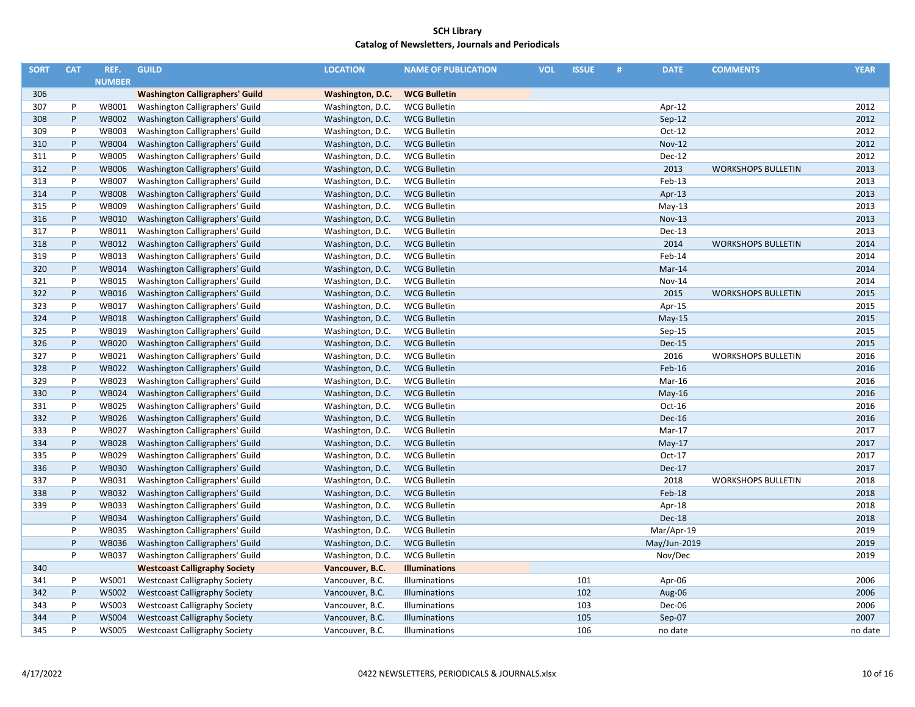| <b>SORT</b> | <b>CAT</b> | REF.          | <b>GUILD</b>                           | <b>LOCATION</b>  | <b>NAME OF PUBLICATION</b> | <b>VOL</b> | <b>ISSUE</b> | # | <b>DATE</b>   | <b>COMMENTS</b>           | <b>YEAR</b> |
|-------------|------------|---------------|----------------------------------------|------------------|----------------------------|------------|--------------|---|---------------|---------------------------|-------------|
|             |            | <b>NUMBER</b> |                                        |                  |                            |            |              |   |               |                           |             |
| 306         |            |               | <b>Washington Calligraphers' Guild</b> | Washington, D.C. | <b>WCG Bulletin</b>        |            |              |   |               |                           |             |
| 307         | P          | WB001         | Washington Calligraphers' Guild        | Washington, D.C. | <b>WCG Bulletin</b>        |            |              |   | Apr-12        |                           | 2012        |
| 308         | P          | <b>WB002</b>  | Washington Calligraphers' Guild        | Washington, D.C. | <b>WCG Bulletin</b>        |            |              |   | $Sep-12$      |                           | 2012        |
| 309         | P          | <b>WB003</b>  | Washington Calligraphers' Guild        | Washington, D.C. | <b>WCG Bulletin</b>        |            |              |   | $Oct-12$      |                           | 2012        |
| 310         | P          | <b>WB004</b>  | Washington Calligraphers' Guild        | Washington, D.C. | <b>WCG Bulletin</b>        |            |              |   | <b>Nov-12</b> |                           | 2012        |
| 311         | P          | <b>WB005</b>  | Washington Calligraphers' Guild        | Washington, D.C. | <b>WCG Bulletin</b>        |            |              |   | Dec-12        |                           | 2012        |
| 312         | P          | <b>WB006</b>  | Washington Calligraphers' Guild        | Washington, D.C. | <b>WCG Bulletin</b>        |            |              |   | 2013          | <b>WORKSHOPS BULLETIN</b> | 2013        |
| 313         | P          | <b>WB007</b>  | Washington Calligraphers' Guild        | Washington, D.C. | <b>WCG Bulletin</b>        |            |              |   | Feb-13        |                           | 2013        |
| 314         | P          | <b>WB008</b>  | Washington Calligraphers' Guild        | Washington, D.C. | <b>WCG Bulletin</b>        |            |              |   | Apr-13        |                           | 2013        |
| 315         | P          | <b>WB009</b>  | Washington Calligraphers' Guild        | Washington, D.C. | <b>WCG Bulletin</b>        |            |              |   | $May-13$      |                           | 2013        |
| 316         | P          | <b>WB010</b>  | Washington Calligraphers' Guild        | Washington, D.C. | <b>WCG Bulletin</b>        |            |              |   | <b>Nov-13</b> |                           | 2013        |
| 317         | P          | WB011         | Washington Calligraphers' Guild        | Washington, D.C. | <b>WCG Bulletin</b>        |            |              |   | Dec-13        |                           | 2013        |
| 318         | P          | WB012         | Washington Calligraphers' Guild        | Washington, D.C. | <b>WCG Bulletin</b>        |            |              |   | 2014          | <b>WORKSHOPS BULLETIN</b> | 2014        |
| 319         | P          | WB013         | Washington Calligraphers' Guild        | Washington, D.C. | <b>WCG Bulletin</b>        |            |              |   | Feb-14        |                           | 2014        |
| 320         | P          | <b>WB014</b>  | Washington Calligraphers' Guild        | Washington, D.C. | <b>WCG Bulletin</b>        |            |              |   | Mar-14        |                           | 2014        |
| 321         | P          | <b>WB015</b>  | Washington Calligraphers' Guild        | Washington, D.C. | <b>WCG Bulletin</b>        |            |              |   | <b>Nov-14</b> |                           | 2014        |
| 322         | P          | WB016         | Washington Calligraphers' Guild        | Washington, D.C. | <b>WCG Bulletin</b>        |            |              |   | 2015          | <b>WORKSHOPS BULLETIN</b> | 2015        |
| 323         | P          | WB017         | Washington Calligraphers' Guild        | Washington, D.C. | <b>WCG Bulletin</b>        |            |              |   | Apr-15        |                           | 2015        |
| 324         | P          | <b>WB018</b>  | Washington Calligraphers' Guild        | Washington, D.C. | <b>WCG Bulletin</b>        |            |              |   | $May-15$      |                           | 2015        |
| 325         | P          | WB019         | Washington Calligraphers' Guild        | Washington, D.C. | <b>WCG Bulletin</b>        |            |              |   | Sep-15        |                           | 2015        |
| 326         | P          | <b>WB020</b>  | Washington Calligraphers' Guild        | Washington, D.C. | <b>WCG Bulletin</b>        |            |              |   | <b>Dec-15</b> |                           | 2015        |
| 327         | P          | WB021         | Washington Calligraphers' Guild        | Washington, D.C. | <b>WCG Bulletin</b>        |            |              |   | 2016          | <b>WORKSHOPS BULLETIN</b> | 2016        |
| 328         | P          | <b>WB022</b>  | Washington Calligraphers' Guild        | Washington, D.C. | <b>WCG Bulletin</b>        |            |              |   | Feb-16        |                           | 2016        |
| 329         | P          | <b>WB023</b>  | Washington Calligraphers' Guild        | Washington, D.C. | <b>WCG Bulletin</b>        |            |              |   | Mar-16        |                           | 2016        |
| 330         | P          | <b>WB024</b>  | Washington Calligraphers' Guild        | Washington, D.C. | <b>WCG Bulletin</b>        |            |              |   | $May-16$      |                           | 2016        |
| 331         | P          | <b>WB025</b>  | Washington Calligraphers' Guild        | Washington, D.C. | <b>WCG Bulletin</b>        |            |              |   | $Oct-16$      |                           | 2016        |
| 332         | P          | <b>WB026</b>  | Washington Calligraphers' Guild        | Washington, D.C. | <b>WCG Bulletin</b>        |            |              |   | Dec-16        |                           | 2016        |
| 333         | P          | <b>WB027</b>  | Washington Calligraphers' Guild        | Washington, D.C. | <b>WCG Bulletin</b>        |            |              |   | Mar-17        |                           | 2017        |
| 334         | P          | <b>WB028</b>  | Washington Calligraphers' Guild        | Washington, D.C. | <b>WCG Bulletin</b>        |            |              |   | $May-17$      |                           | 2017        |
| 335         | P          | <b>WB029</b>  | Washington Calligraphers' Guild        | Washington, D.C. | <b>WCG Bulletin</b>        |            |              |   | Oct-17        |                           | 2017        |
| 336         | P          | <b>WB030</b>  | Washington Calligraphers' Guild        | Washington, D.C. | <b>WCG Bulletin</b>        |            |              |   | Dec-17        |                           | 2017        |
| 337         | P          | WB031         | Washington Calligraphers' Guild        | Washington, D.C. | <b>WCG Bulletin</b>        |            |              |   | 2018          | <b>WORKSHOPS BULLETIN</b> | 2018        |
| 338         | P          | <b>WB032</b>  | Washington Calligraphers' Guild        | Washington, D.C. | <b>WCG Bulletin</b>        |            |              |   | Feb-18        |                           | 2018        |
| 339         | P          | WB033         | Washington Calligraphers' Guild        | Washington, D.C. | <b>WCG Bulletin</b>        |            |              |   | Apr-18        |                           | 2018        |
|             | P          | <b>WB034</b>  | Washington Calligraphers' Guild        | Washington, D.C. | <b>WCG Bulletin</b>        |            |              |   | Dec-18        |                           | 2018        |
|             | P          | <b>WB035</b>  | Washington Calligraphers' Guild        | Washington, D.C. | <b>WCG Bulletin</b>        |            |              |   | Mar/Apr-19    |                           | 2019        |
|             | P          | <b>WB036</b>  | Washington Calligraphers' Guild        | Washington, D.C. | <b>WCG Bulletin</b>        |            |              |   | May/Jun-2019  |                           | 2019        |
|             | P          | <b>WB037</b>  | Washington Calligraphers' Guild        | Washington, D.C. | <b>WCG Bulletin</b>        |            |              |   | Nov/Dec       |                           | 2019        |
| 340         |            |               | <b>Westcoast Calligraphy Society</b>   | Vancouver, B.C.  | <b>Illuminations</b>       |            |              |   |               |                           |             |
| 341         | P          | WS001         | <b>Westcoast Calligraphy Society</b>   | Vancouver, B.C.  | Illuminations              |            | 101          |   | Apr-06        |                           | 2006        |
| 342         | P          | <b>WS002</b>  | <b>Westcoast Calligraphy Society</b>   | Vancouver, B.C.  | Illuminations              |            | 102          |   | Aug-06        |                           | 2006        |
| 343         | P          | <b>WS003</b>  | <b>Westcoast Calligraphy Society</b>   | Vancouver, B.C.  | Illuminations              |            | 103          |   | Dec-06        |                           | 2006        |
| 344         | P          | <b>WS004</b>  | <b>Westcoast Calligraphy Society</b>   | Vancouver, B.C.  | Illuminations              |            | 105          |   | Sep-07        |                           | 2007        |
| 345         | P          | <b>WS005</b>  | <b>Westcoast Calligraphy Society</b>   | Vancouver, B.C.  | Illuminations              |            | 106          |   | no date       |                           | no date     |
|             |            |               |                                        |                  |                            |            |              |   |               |                           |             |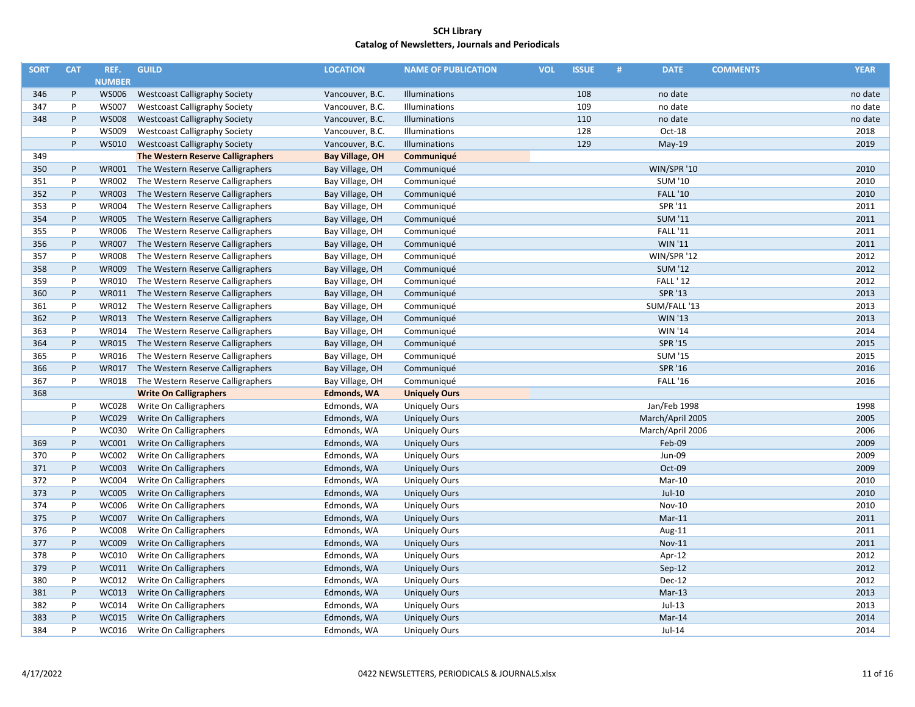| <b>SORT</b> | <b>CAT</b> | REF.          | <b>GUILD</b>                         | <b>LOCATION</b>        | <b>NAME OF PUBLICATION</b> | <b>VOL</b> | <b>ISSUE</b> | # | <b>DATE</b>      | <b>COMMENTS</b> | <b>YEAR</b> |
|-------------|------------|---------------|--------------------------------------|------------------------|----------------------------|------------|--------------|---|------------------|-----------------|-------------|
|             |            | <b>NUMBER</b> |                                      |                        |                            |            |              |   |                  |                 |             |
| 346         | P          | <b>WS006</b>  | <b>Westcoast Calligraphy Society</b> | Vancouver, B.C.        | Illuminations              |            | 108          |   | no date          |                 | no date     |
| 347         | P          | <b>WS007</b>  | <b>Westcoast Calligraphy Society</b> | Vancouver, B.C.        | Illuminations              |            | 109          |   | no date          |                 | no date     |
| 348         | P          | <b>WS008</b>  | <b>Westcoast Calligraphy Society</b> | Vancouver, B.C.        | Illuminations              |            | 110          |   | no date          |                 | no date     |
|             | P          | <b>WS009</b>  | <b>Westcoast Calligraphy Society</b> | Vancouver, B.C.        | Illuminations              |            | 128          |   | Oct-18           |                 | 2018        |
|             | P          | <b>WS010</b>  | <b>Westcoast Calligraphy Society</b> | Vancouver, B.C.        | Illuminations              |            | 129          |   | $May-19$         |                 | 2019        |
| 349         |            |               | The Western Reserve Calligraphers    | <b>Bay Village, OH</b> | Communiqué                 |            |              |   |                  |                 |             |
| 350         | P          | <b>WR001</b>  | The Western Reserve Calligraphers    | Bay Village, OH        | Communiqué                 |            |              |   | WIN/SPR '10      |                 | 2010        |
| 351         | P          | <b>WR002</b>  | The Western Reserve Calligraphers    | Bay Village, OH        | Communiqué                 |            |              |   | <b>SUM '10</b>   |                 | 2010        |
| 352         | P          | <b>WR003</b>  | The Western Reserve Calligraphers    | Bay Village, OH        | Communiqué                 |            |              |   | <b>FALL '10</b>  |                 | 2010        |
| 353         | P          | <b>WR004</b>  | The Western Reserve Calligraphers    | Bay Village, OH        | Communiqué                 |            |              |   | SPR '11          |                 | 2011        |
| 354         | P          | <b>WR005</b>  | The Western Reserve Calligraphers    | Bay Village, OH        | Communiqué                 |            |              |   | <b>SUM '11</b>   |                 | 2011        |
| 355         | P          | <b>WR006</b>  | The Western Reserve Calligraphers    | Bay Village, OH        | Communiqué                 |            |              |   | <b>FALL '11</b>  |                 | 2011        |
| 356         | P          | <b>WR007</b>  | The Western Reserve Calligraphers    | Bay Village, OH        | Communiqué                 |            |              |   | <b>WIN '11</b>   |                 | 2011        |
| 357         | P          | <b>WR008</b>  | The Western Reserve Calligraphers    | Bay Village, OH        | Communiqué                 |            |              |   | WIN/SPR '12      |                 | 2012        |
| 358         | P          | <b>WR009</b>  | The Western Reserve Calligraphers    | Bay Village, OH        | Communiqué                 |            |              |   | <b>SUM '12</b>   |                 | 2012        |
| 359         | P          | <b>WR010</b>  | The Western Reserve Calligraphers    | Bay Village, OH        | Communiqué                 |            |              |   | <b>FALL '12</b>  |                 | 2012        |
| 360         | P          | WR011         | The Western Reserve Calligraphers    | Bay Village, OH        | Communiqué                 |            |              |   | SPR '13          |                 | 2013        |
| 361         | P          | WR012         | The Western Reserve Calligraphers    | Bay Village, OH        | Communiqué                 |            |              |   | SUM/FALL '13     |                 | 2013        |
| 362         | P          | WR013         | The Western Reserve Calligraphers    | Bay Village, OH        | Communiqué                 |            |              |   | <b>WIN '13</b>   |                 | 2013        |
| 363         | P          | <b>WR014</b>  | The Western Reserve Calligraphers    | Bay Village, OH        | Communiqué                 |            |              |   | <b>WIN '14</b>   |                 | 2014        |
| 364         | P          | <b>WR015</b>  | The Western Reserve Calligraphers    | Bay Village, OH        | Communiqué                 |            |              |   | <b>SPR '15</b>   |                 | 2015        |
| 365         | P          | <b>WR016</b>  | The Western Reserve Calligraphers    | Bay Village, OH        | Communiqué                 |            |              |   | <b>SUM '15</b>   |                 | 2015        |
| 366         | $\sf P$    | <b>WR017</b>  | The Western Reserve Calligraphers    | Bay Village, OH        | Communiqué                 |            |              |   | SPR '16          |                 | 2016        |
| 367         | P          | <b>WR018</b>  | The Western Reserve Calligraphers    | Bay Village, OH        | Communiqué                 |            |              |   | <b>FALL '16</b>  |                 | 2016        |
| 368         |            |               | <b>Write On Calligraphers</b>        | <b>Edmonds, WA</b>     | <b>Uniquely Ours</b>       |            |              |   |                  |                 |             |
|             | P          | <b>WC028</b>  | Write On Calligraphers               | Edmonds, WA            | <b>Uniquely Ours</b>       |            |              |   | Jan/Feb 1998     |                 | 1998        |
|             | P          | <b>WC029</b>  | Write On Calligraphers               | Edmonds, WA            | <b>Uniquely Ours</b>       |            |              |   | March/April 2005 |                 | 2005        |
|             | P          | <b>WC030</b>  | Write On Calligraphers               | Edmonds, WA            | <b>Uniquely Ours</b>       |            |              |   | March/April 2006 |                 | 2006        |
| 369         | P          | WC001         | Write On Calligraphers               | Edmonds, WA            | <b>Uniquely Ours</b>       |            |              |   | Feb-09           |                 | 2009        |
| 370         | P          | <b>WC002</b>  | Write On Calligraphers               | Edmonds, WA            | <b>Uniquely Ours</b>       |            |              |   | Jun-09           |                 | 2009        |
| 371         | P          | <b>WC003</b>  | Write On Calligraphers               | Edmonds, WA            | <b>Uniquely Ours</b>       |            |              |   | Oct-09           |                 | 2009        |
| 372         | P          | <b>WC004</b>  | Write On Calligraphers               | Edmonds, WA            | <b>Uniquely Ours</b>       |            |              |   | Mar-10           |                 | 2010        |
| 373         | P          | <b>WC005</b>  | Write On Calligraphers               | Edmonds, WA            | <b>Uniquely Ours</b>       |            |              |   | Jul-10           |                 | 2010        |
| 374         | P          | <b>WC006</b>  | Write On Calligraphers               | Edmonds, WA            | <b>Uniquely Ours</b>       |            |              |   | <b>Nov-10</b>    |                 | 2010        |
| 375         | P          | <b>WC007</b>  | Write On Calligraphers               | Edmonds, WA            | <b>Uniquely Ours</b>       |            |              |   | $Mar-11$         |                 | 2011        |
| 376         | P          | <b>WC008</b>  | Write On Calligraphers               | Edmonds, WA            | <b>Uniquely Ours</b>       |            |              |   | Aug-11           |                 | 2011        |
| 377         | P          | <b>WC009</b>  | Write On Calligraphers               | Edmonds, WA            | <b>Uniquely Ours</b>       |            |              |   | <b>Nov-11</b>    |                 | 2011        |
| 378         | P          | <b>WC010</b>  | Write On Calligraphers               | Edmonds, WA            | <b>Uniquely Ours</b>       |            |              |   | Apr-12           |                 | 2012        |
| 379         | P          | WC011         | Write On Calligraphers               | Edmonds, WA            | <b>Uniquely Ours</b>       |            |              |   | Sep-12           |                 | 2012        |
| 380         | P          | WC012         | Write On Calligraphers               | Edmonds, WA            | <b>Uniquely Ours</b>       |            |              |   | Dec-12           |                 | 2012        |
| 381         | P          | WC013         | Write On Calligraphers               | Edmonds, WA            | <b>Uniquely Ours</b>       |            |              |   | Mar-13           |                 | 2013        |
| 382         | P          | WC014         | Write On Calligraphers               | Edmonds, WA            | <b>Uniquely Ours</b>       |            |              |   | $Jul-13$         |                 | 2013        |
| 383         | P          | <b>WC015</b>  | Write On Calligraphers               | Edmonds, WA            | <b>Uniquely Ours</b>       |            |              |   | Mar-14           |                 | 2014        |
| 384         | P          | WC016         | Write On Calligraphers               | Edmonds, WA            | <b>Uniquely Ours</b>       |            |              |   | Jul-14           |                 | 2014        |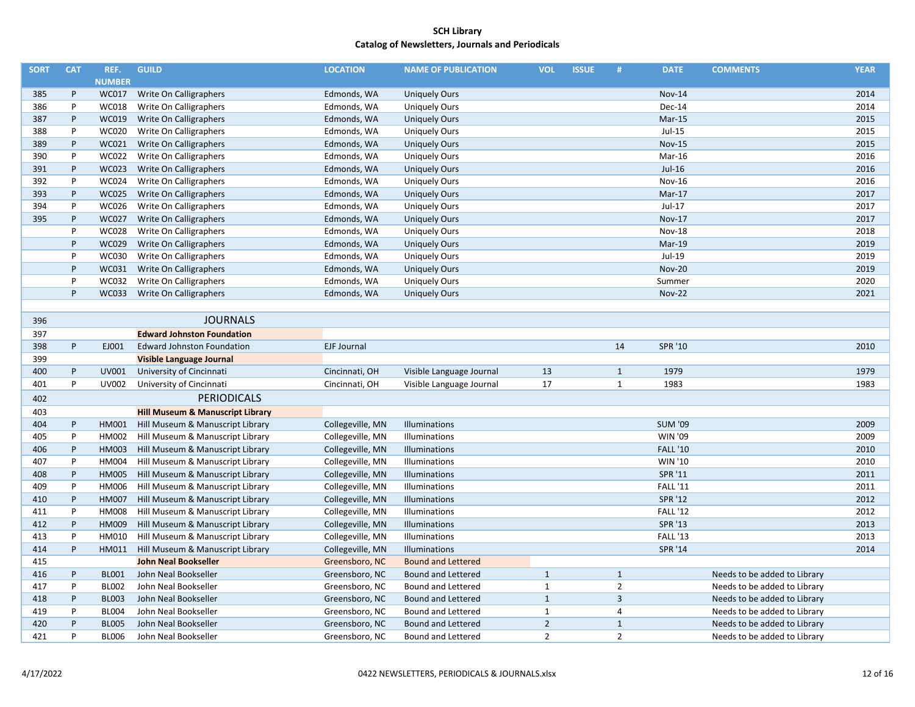| <b>SORT</b> | <b>CAT</b> | REF.          | <b>GUILD</b>                                | <b>LOCATION</b>    | <b>NAME OF PUBLICATION</b> | <b>VOL</b>     | <b>ISSUE</b> | #              | <b>DATE</b>     | <b>COMMENTS</b>              | <b>YEAR</b> |
|-------------|------------|---------------|---------------------------------------------|--------------------|----------------------------|----------------|--------------|----------------|-----------------|------------------------------|-------------|
|             |            | <b>NUMBER</b> |                                             |                    |                            |                |              |                |                 |                              |             |
| 385         | P          | <b>WC017</b>  | Write On Calligraphers                      | Edmonds, WA        | <b>Uniquely Ours</b>       |                |              |                | <b>Nov-14</b>   |                              | 2014        |
| 386         | P          | <b>WC018</b>  | Write On Calligraphers                      | Edmonds, WA        | <b>Uniquely Ours</b>       |                |              |                | Dec-14          |                              | 2014        |
| 387         | P          | <b>WC019</b>  | Write On Calligraphers                      | Edmonds, WA        | <b>Uniquely Ours</b>       |                |              |                | $Mar-15$        |                              | 2015        |
| 388         | P          | <b>WC020</b>  | Write On Calligraphers                      | Edmonds, WA        | <b>Uniquely Ours</b>       |                |              |                | $Jul-15$        |                              | 2015        |
| 389         | P          | WC021         | Write On Calligraphers                      | Edmonds, WA        | <b>Uniquely Ours</b>       |                |              |                | <b>Nov-15</b>   |                              | 2015        |
| 390         | P          | <b>WC022</b>  | Write On Calligraphers                      | Edmonds, WA        | <b>Uniquely Ours</b>       |                |              |                | Mar-16          |                              | 2016        |
| 391         | P          | <b>WC023</b>  | Write On Calligraphers                      | Edmonds, WA        | <b>Uniquely Ours</b>       |                |              |                | $Jul-16$        |                              | 2016        |
| 392         | P          | <b>WC024</b>  | Write On Calligraphers                      | Edmonds, WA        | <b>Uniquely Ours</b>       |                |              |                | <b>Nov-16</b>   |                              | 2016        |
| 393         | P          | <b>WC025</b>  | Write On Calligraphers                      | Edmonds, WA        | <b>Uniquely Ours</b>       |                |              |                | Mar-17          |                              | 2017        |
| 394         | P          | WC026         | Write On Calligraphers                      | Edmonds, WA        | <b>Uniquely Ours</b>       |                |              |                | Jul-17          |                              | 2017        |
| 395         | P          | <b>WC027</b>  | Write On Calligraphers                      | Edmonds, WA        | <b>Uniquely Ours</b>       |                |              |                | <b>Nov-17</b>   |                              | 2017        |
|             | P          | <b>WC028</b>  | Write On Calligraphers                      | Edmonds, WA        | <b>Uniquely Ours</b>       |                |              |                | <b>Nov-18</b>   |                              | 2018        |
|             | P          | <b>WC029</b>  | Write On Calligraphers                      | Edmonds, WA        | <b>Uniquely Ours</b>       |                |              |                | Mar-19          |                              | 2019        |
|             | P          | <b>WC030</b>  | Write On Calligraphers                      | Edmonds, WA        | <b>Uniquely Ours</b>       |                |              |                | Jul-19          |                              | 2019        |
|             | P          | WC031         | Write On Calligraphers                      | Edmonds, WA        | <b>Uniquely Ours</b>       |                |              |                | <b>Nov-20</b>   |                              | 2019        |
|             | P          | <b>WC032</b>  | Write On Calligraphers                      | Edmonds, WA        | <b>Uniquely Ours</b>       |                |              |                | Summer          |                              | 2020        |
|             | P          | <b>WC033</b>  | Write On Calligraphers                      | Edmonds, WA        | <b>Uniquely Ours</b>       |                |              |                | <b>Nov-22</b>   |                              | 2021        |
|             |            |               |                                             |                    |                            |                |              |                |                 |                              |             |
| 396         |            |               | <b>JOURNALS</b>                             |                    |                            |                |              |                |                 |                              |             |
| 397         |            |               | <b>Edward Johnston Foundation</b>           |                    |                            |                |              |                |                 |                              |             |
| 398         | P          | EJ001         | <b>Edward Johnston Foundation</b>           | <b>EJF Journal</b> |                            |                |              | 14             | SPR '10         |                              | 2010        |
| 399         |            |               | Visible Language Journal                    |                    |                            |                |              |                |                 |                              |             |
| 400         | P          | UV001         | University of Cincinnati                    | Cincinnati, OH     | Visible Language Journal   | 13             |              | $\mathbf{1}$   | 1979            |                              | 1979        |
| 401         | P          | UV002         | University of Cincinnati                    | Cincinnati, OH     | Visible Language Journal   | 17             |              | $\mathbf{1}$   | 1983            |                              | 1983        |
| 402         |            |               | <b>PERIODICALS</b>                          |                    |                            |                |              |                |                 |                              |             |
| 403         |            |               | <b>Hill Museum &amp; Manuscript Library</b> |                    |                            |                |              |                |                 |                              |             |
| 404         | P          | HM001         | Hill Museum & Manuscript Library            | Collegeville, MN   | Illuminations              |                |              |                | <b>SUM '09</b>  |                              | 2009        |
| 405         | P          | HM002         | Hill Museum & Manuscript Library            | Collegeville, MN   | Illuminations              |                |              |                | <b>WIN '09</b>  |                              | 2009        |
| 406         | P          | HM003         | Hill Museum & Manuscript Library            | Collegeville, MN   | Illuminations              |                |              |                | <b>FALL '10</b> |                              | 2010        |
| 407         | P          | HM004         | Hill Museum & Manuscript Library            | Collegeville, MN   | Illuminations              |                |              |                | WIN '10         |                              | 2010        |
| 408         | P          | HM005         | Hill Museum & Manuscript Library            | Collegeville, MN   | Illuminations              |                |              |                | SPR '11         |                              | 2011        |
| 409         | P          | HM006         | Hill Museum & Manuscript Library            | Collegeville, MN   | Illuminations              |                |              |                | <b>FALL '11</b> |                              | 2011        |
| 410         | P          | HM007         | Hill Museum & Manuscript Library            | Collegeville, MN   | Illuminations              |                |              |                | SPR '12         |                              | 2012        |
| 411         | P          | HM008         | Hill Museum & Manuscript Library            | Collegeville, MN   | Illuminations              |                |              |                | <b>FALL '12</b> |                              | 2012        |
| 412         | P          | HM009         | Hill Museum & Manuscript Library            | Collegeville, MN   | Illuminations              |                |              |                | <b>SPR '13</b>  |                              | 2013        |
| 413         | P          | HM010         | Hill Museum & Manuscript Library            | Collegeville, MN   | Illuminations              |                |              |                | <b>FALL '13</b> |                              | 2013        |
| 414         | P          | HM011         | Hill Museum & Manuscript Library            | Collegeville, MN   | Illuminations              |                |              |                | SPR '14         |                              | 2014        |
| 415         |            |               | <b>John Neal Bookseller</b>                 | Greensboro, NC     | <b>Bound and Lettered</b>  |                |              |                |                 |                              |             |
| 416         | P          | <b>BL001</b>  | John Neal Bookseller                        | Greensboro, NC     | <b>Bound and Lettered</b>  | $\mathbf{1}$   |              | $\mathbf{1}$   |                 | Needs to be added to Library |             |
| 417         | P          | <b>BL002</b>  | John Neal Bookseller                        | Greensboro, NC     | <b>Bound and Lettered</b>  | $\mathbf{1}$   |              | $\overline{2}$ |                 | Needs to be added to Library |             |
| 418         | P          | <b>BL003</b>  | John Neal Bookseller                        | Greensboro, NC     | <b>Bound and Lettered</b>  | $\mathbf{1}$   |              | $\overline{3}$ |                 | Needs to be added to Library |             |
| 419         | P          | <b>BL004</b>  | John Neal Bookseller                        | Greensboro, NC     | <b>Bound and Lettered</b>  | $\mathbf{1}$   |              | $\overline{4}$ |                 | Needs to be added to Library |             |
| 420         | P          | <b>BL005</b>  | John Neal Bookseller                        | Greensboro, NC     | <b>Bound and Lettered</b>  | $\overline{2}$ |              | $\mathbf{1}$   |                 | Needs to be added to Library |             |
| 421         | P          | <b>BL006</b>  | John Neal Bookseller                        | Greensboro, NC     | <b>Bound and Lettered</b>  | $\overline{2}$ |              | $\overline{2}$ |                 | Needs to be added to Library |             |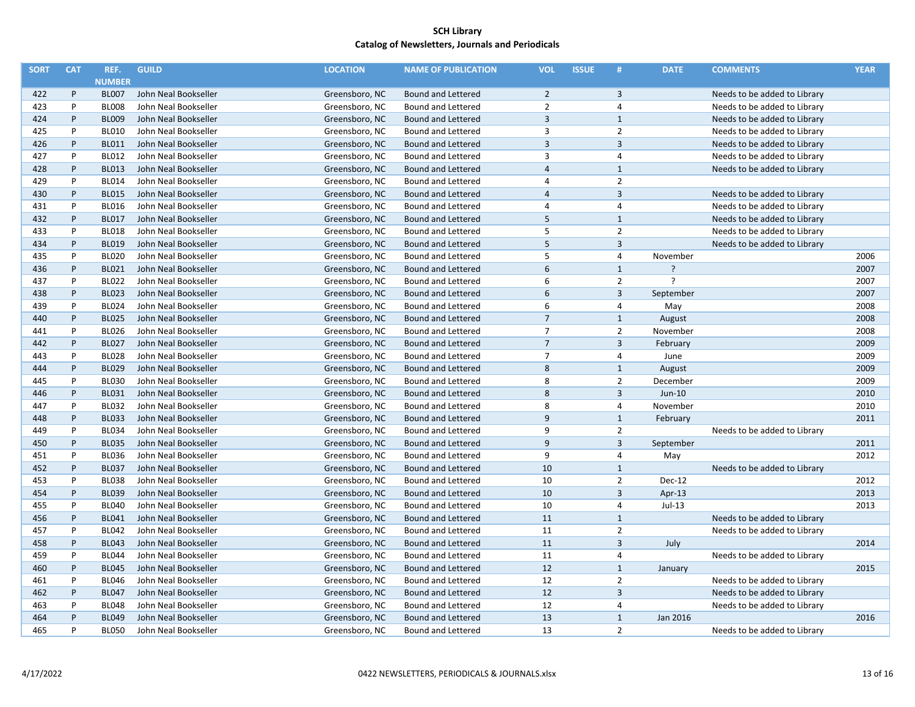| <b>SORT</b> | <b>CAT</b>   | REF.          | <b>GUILD</b>         | <b>LOCATION</b> | <b>NAME OF PUBLICATION</b> | <b>VOL</b>              | <b>ISSUE</b> | #              | <b>DATE</b>              | <b>COMMENTS</b>              | <b>YEAR</b> |
|-------------|--------------|---------------|----------------------|-----------------|----------------------------|-------------------------|--------------|----------------|--------------------------|------------------------------|-------------|
|             |              | <b>NUMBER</b> |                      |                 |                            |                         |              |                |                          |                              |             |
| 422         | P            | <b>BL007</b>  | John Neal Bookseller | Greensboro, NC  | <b>Bound and Lettered</b>  | $\overline{2}$          |              | 3              |                          | Needs to be added to Library |             |
| 423         | P            | <b>BL008</b>  | John Neal Bookseller | Greensboro, NC  | <b>Bound and Lettered</b>  | $\overline{2}$          |              | 4              |                          | Needs to be added to Library |             |
| 424         | P            | <b>BL009</b>  | John Neal Bookseller | Greensboro, NC  | <b>Bound and Lettered</b>  | $\overline{3}$          |              | $\mathbf{1}$   |                          | Needs to be added to Library |             |
| 425         | P            | <b>BL010</b>  | John Neal Bookseller | Greensboro, NC  | <b>Bound and Lettered</b>  | $\overline{3}$          |              | $\overline{2}$ |                          | Needs to be added to Library |             |
| 426         | P            | <b>BL011</b>  | John Neal Bookseller | Greensboro, NC  | <b>Bound and Lettered</b>  | $\overline{\mathbf{3}}$ |              | 3              |                          | Needs to be added to Library |             |
| 427         | P            | <b>BL012</b>  | John Neal Bookseller | Greensboro, NC  | <b>Bound and Lettered</b>  | 3                       |              | $\overline{4}$ |                          | Needs to be added to Library |             |
| 428         | P            | <b>BL013</b>  | John Neal Bookseller | Greensboro, NC  | <b>Bound and Lettered</b>  | $\overline{4}$          |              | $\mathbf{1}$   |                          | Needs to be added to Library |             |
| 429         | P            | <b>BL014</b>  | John Neal Bookseller | Greensboro, NC  | <b>Bound and Lettered</b>  | $\overline{4}$          |              | $\overline{2}$ |                          |                              |             |
| 430         | P            | <b>BL015</b>  | John Neal Bookseller | Greensboro, NC  | <b>Bound and Lettered</b>  | $\overline{4}$          |              | $\overline{3}$ |                          | Needs to be added to Library |             |
| 431         | P            | <b>BL016</b>  | John Neal Bookseller | Greensboro, NC  | <b>Bound and Lettered</b>  | $\overline{4}$          |              | 4              |                          | Needs to be added to Library |             |
| 432         | P            | <b>BL017</b>  | John Neal Bookseller | Greensboro, NC  | <b>Bound and Lettered</b>  | 5                       |              | $\mathbf{1}$   |                          | Needs to be added to Library |             |
| 433         | P            | <b>BL018</b>  | John Neal Bookseller | Greensboro, NC  | <b>Bound and Lettered</b>  | 5                       |              | $\overline{2}$ |                          | Needs to be added to Library |             |
| 434         | P            | <b>BL019</b>  | John Neal Bookseller | Greensboro, NC  | <b>Bound and Lettered</b>  | 5                       |              | $\overline{3}$ |                          | Needs to be added to Library |             |
| 435         | P            | <b>BL020</b>  | John Neal Bookseller | Greensboro, NC  | <b>Bound and Lettered</b>  | 5                       |              | $\overline{4}$ | November                 |                              | 2006        |
| 436         | P            | <b>BL021</b>  | John Neal Bookseller | Greensboro, NC  | <b>Bound and Lettered</b>  | $6\,$                   |              | $\mathbf{1}$   | $\overline{\phantom{a}}$ |                              | 2007        |
| 437         | P            | <b>BL022</b>  | John Neal Bookseller | Greensboro, NC  | <b>Bound and Lettered</b>  | 6                       |              | $\overline{2}$ | ?                        |                              | 2007        |
| 438         | P            | <b>BL023</b>  | John Neal Bookseller | Greensboro, NC  | <b>Bound and Lettered</b>  | 6                       |              | $\overline{3}$ | September                |                              | 2007        |
| 439         | $\mathsf{P}$ | <b>BL024</b>  | John Neal Bookseller | Greensboro, NC  | <b>Bound and Lettered</b>  | 6                       |              | $\overline{4}$ | May                      |                              | 2008        |
| 440         | P            | <b>BL025</b>  | John Neal Bookseller | Greensboro, NC  | <b>Bound and Lettered</b>  | $\overline{7}$          |              | $\mathbf{1}$   | August                   |                              | 2008        |
| 441         | P            | <b>BL026</b>  |                      |                 |                            | $\overline{7}$          |              | $\overline{2}$ |                          |                              | 2008        |
|             | P            | <b>BL027</b>  | John Neal Bookseller | Greensboro, NC  | <b>Bound and Lettered</b>  | $\overline{7}$          |              | $\overline{3}$ | November                 |                              | 2009        |
| 442         | P            |               | John Neal Bookseller | Greensboro, NC  | <b>Bound and Lettered</b>  |                         |              |                | February                 |                              |             |
| 443         | P            | <b>BL028</b>  | John Neal Bookseller | Greensboro, NC  | <b>Bound and Lettered</b>  | $\overline{7}$          |              | $\overline{4}$ | June                     |                              | 2009        |
| 444         |              | <b>BL029</b>  | John Neal Bookseller | Greensboro, NC  | <b>Bound and Lettered</b>  | 8                       |              | $\mathbf{1}$   | August                   |                              | 2009        |
| 445         | P            | <b>BL030</b>  | John Neal Bookseller | Greensboro, NC  | <b>Bound and Lettered</b>  | 8                       |              | $\overline{2}$ | December                 |                              | 2009        |
| 446         | P            | <b>BL031</b>  | John Neal Bookseller | Greensboro, NC  | <b>Bound and Lettered</b>  | 8                       |              | $\overline{3}$ | $Jun-10$                 |                              | 2010        |
| 447         | P            | <b>BL032</b>  | John Neal Bookseller | Greensboro, NC  | <b>Bound and Lettered</b>  | 8                       |              | $\overline{4}$ | November                 |                              | 2010        |
| 448         | P            | <b>BL033</b>  | John Neal Bookseller | Greensboro, NC  | <b>Bound and Lettered</b>  | 9                       |              | $\mathbf{1}$   | February                 |                              | 2011        |
| 449         | P            | <b>BL034</b>  | John Neal Bookseller | Greensboro, NC  | <b>Bound and Lettered</b>  | 9                       |              | $\overline{2}$ |                          | Needs to be added to Library |             |
| 450         | P            | <b>BL035</b>  | John Neal Bookseller | Greensboro, NC  | <b>Bound and Lettered</b>  | $\overline{9}$          |              | $\overline{3}$ | September                |                              | 2011        |
| 451         | P            | <b>BL036</b>  | John Neal Bookseller | Greensboro, NC  | <b>Bound and Lettered</b>  | 9                       |              | $\overline{4}$ | May                      |                              | 2012        |
| 452         | P            | <b>BL037</b>  | John Neal Bookseller | Greensboro, NC  | <b>Bound and Lettered</b>  | 10                      |              | $\mathbf{1}$   |                          | Needs to be added to Library |             |
| 453         | P            | <b>BL038</b>  | John Neal Bookseller | Greensboro, NC  | <b>Bound and Lettered</b>  | 10                      |              | $\overline{2}$ | Dec-12                   |                              | 2012        |
| 454         | P            | <b>BL039</b>  | John Neal Bookseller | Greensboro, NC  | <b>Bound and Lettered</b>  | 10                      |              | $\overline{3}$ | Apr-13                   |                              | 2013        |
| 455         | P            | <b>BL040</b>  | John Neal Bookseller | Greensboro, NC  | <b>Bound and Lettered</b>  | 10                      |              | $\overline{4}$ | Jul-13                   |                              | 2013        |
| 456         | P            | <b>BL041</b>  | John Neal Bookseller | Greensboro, NC  | Bound and Lettered         | 11                      |              | $\mathbf{1}$   |                          | Needs to be added to Library |             |
| 457         | P            | <b>BL042</b>  | John Neal Bookseller | Greensboro, NC  | <b>Bound and Lettered</b>  | 11                      |              | $\overline{2}$ |                          | Needs to be added to Library |             |
| 458         | P            | <b>BL043</b>  | John Neal Bookseller | Greensboro, NC  | <b>Bound and Lettered</b>  | 11                      |              | $\overline{3}$ | July                     |                              | 2014        |
| 459         | P            | <b>BL044</b>  | John Neal Bookseller | Greensboro, NC  | <b>Bound and Lettered</b>  | 11                      |              | $\overline{4}$ |                          | Needs to be added to Library |             |
| 460         | P            | <b>BL045</b>  | John Neal Bookseller | Greensboro, NC  | <b>Bound and Lettered</b>  | 12                      |              | $\mathbf{1}$   | January                  |                              | 2015        |
| 461         | P            | <b>BL046</b>  | John Neal Bookseller | Greensboro, NC  | <b>Bound and Lettered</b>  | 12                      |              | $\overline{2}$ |                          | Needs to be added to Library |             |
| 462         | P            | <b>BL047</b>  | John Neal Bookseller | Greensboro, NC  | <b>Bound and Lettered</b>  | 12                      |              | $\overline{3}$ |                          | Needs to be added to Library |             |
| 463         | P            | <b>BL048</b>  | John Neal Bookseller | Greensboro, NC  | <b>Bound and Lettered</b>  | 12                      |              | $\sqrt{4}$     |                          | Needs to be added to Library |             |
| 464         | $\mathsf{P}$ | <b>BL049</b>  | John Neal Bookseller | Greensboro, NC  | <b>Bound and Lettered</b>  | 13                      |              | $\mathbf{1}$   | Jan 2016                 |                              | 2016        |
| 465         | P            | <b>BL050</b>  | John Neal Bookseller | Greensboro, NC  | <b>Bound and Lettered</b>  | 13                      |              | $\overline{2}$ |                          | Needs to be added to Library |             |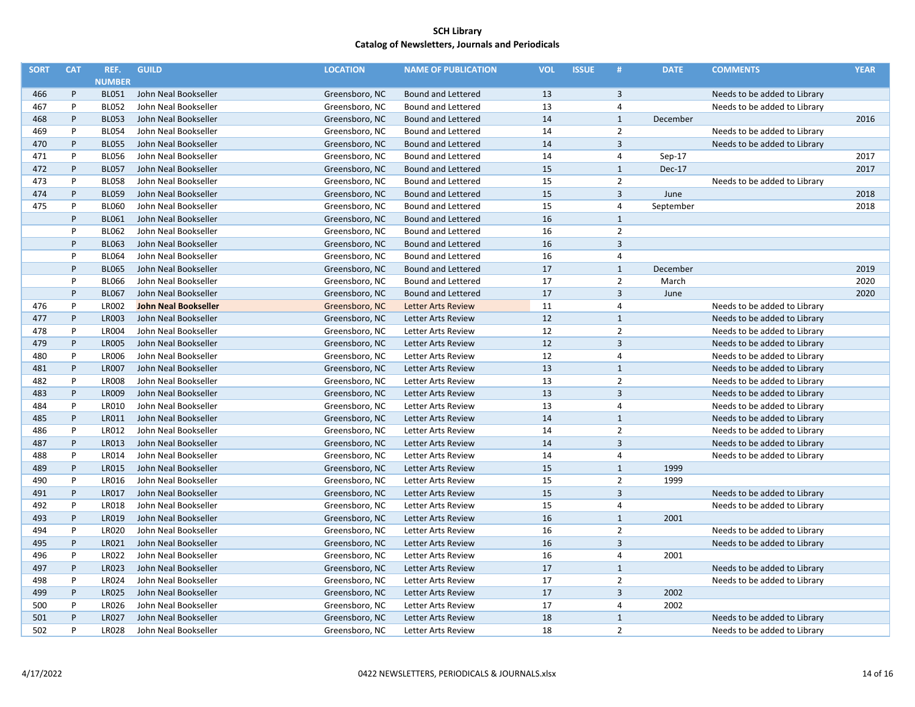| <b>SORT</b> | <b>CAT</b> | REF.          | <b>GUILD</b>                | <b>LOCATION</b> | <b>NAME OF PUBLICATION</b> | <b>VOL</b> | <b>ISSUE</b> | #              | <b>DATE</b> | <b>COMMENTS</b>              | <b>YEAR</b> |
|-------------|------------|---------------|-----------------------------|-----------------|----------------------------|------------|--------------|----------------|-------------|------------------------------|-------------|
|             |            | <b>NUMBER</b> |                             |                 |                            |            |              |                |             |                              |             |
| 466         | P          | <b>BL051</b>  | John Neal Bookseller        | Greensboro, NC  | Bound and Lettered         | 13         |              | 3              |             | Needs to be added to Library |             |
| 467         | P          | <b>BL052</b>  | John Neal Bookseller        | Greensboro, NC  | <b>Bound and Lettered</b>  | 13         |              | $\overline{4}$ |             | Needs to be added to Library |             |
| 468         | P          | <b>BL053</b>  | John Neal Bookseller        | Greensboro, NC  | <b>Bound and Lettered</b>  | 14         |              | $1\,$          | December    |                              | 2016        |
| 469         | P          | <b>BL054</b>  | John Neal Bookseller        | Greensboro, NC  | <b>Bound and Lettered</b>  | 14         |              | $\overline{2}$ |             | Needs to be added to Library |             |
| 470         | P          | <b>BL055</b>  | John Neal Bookseller        | Greensboro, NC  | <b>Bound and Lettered</b>  | 14         |              | $\overline{3}$ |             | Needs to be added to Library |             |
| 471         | P          | <b>BL056</b>  | John Neal Bookseller        | Greensboro, NC  | <b>Bound and Lettered</b>  | 14         |              | $\overline{4}$ | Sep-17      |                              | 2017        |
| 472         | P          | <b>BL057</b>  | John Neal Bookseller        | Greensboro, NC  | <b>Bound and Lettered</b>  | 15         |              | $\mathbf{1}$   | Dec-17      |                              | 2017        |
| 473         | P          | <b>BL058</b>  | John Neal Bookseller        | Greensboro, NC  | <b>Bound and Lettered</b>  | 15         |              | $\overline{2}$ |             | Needs to be added to Library |             |
| 474         | P          | <b>BL059</b>  | John Neal Bookseller        | Greensboro, NC  | <b>Bound and Lettered</b>  | 15         |              | $\overline{3}$ | June        |                              | 2018        |
| 475         | P          | <b>BL060</b>  | John Neal Bookseller        | Greensboro, NC  | <b>Bound and Lettered</b>  | 15         |              | $\overline{4}$ | September   |                              | 2018        |
|             | P          | <b>BL061</b>  | John Neal Bookseller        | Greensboro, NC  | <b>Bound and Lettered</b>  | 16         |              | $1\,$          |             |                              |             |
|             | P          | <b>BL062</b>  | John Neal Bookseller        | Greensboro, NC  | <b>Bound and Lettered</b>  | 16         |              | $\overline{2}$ |             |                              |             |
|             | P          | <b>BL063</b>  | John Neal Bookseller        | Greensboro, NC  | <b>Bound and Lettered</b>  | 16         |              | $\overline{3}$ |             |                              |             |
|             | P          | <b>BL064</b>  | John Neal Bookseller        | Greensboro, NC  | <b>Bound and Lettered</b>  | 16         |              | $\overline{4}$ |             |                              |             |
|             | P          | <b>BL065</b>  | John Neal Bookseller        | Greensboro, NC  | <b>Bound and Lettered</b>  | 17         |              | $\mathbf{1}$   | December    |                              | 2019        |
|             | P          | <b>BL066</b>  | John Neal Bookseller        | Greensboro, NC  | <b>Bound and Lettered</b>  | 17         |              | $\overline{2}$ | March       |                              | 2020        |
|             | P          | <b>BL067</b>  | John Neal Bookseller        | Greensboro, NC  | <b>Bound and Lettered</b>  | 17         |              | $\overline{3}$ | June        |                              | 2020        |
| 476         | P          | <b>LR002</b>  | <b>John Neal Bookseller</b> | Greensboro, NC  | <b>Letter Arts Review</b>  | 11         |              | $\overline{4}$ |             | Needs to be added to Library |             |
| 477         | P          | <b>LR003</b>  | John Neal Bookseller        | Greensboro, NC  | Letter Arts Review         | 12         |              | $\mathbf{1}$   |             | Needs to be added to Library |             |
| 478         | P          | <b>LR004</b>  | John Neal Bookseller        | Greensboro, NC  | Letter Arts Review         | 12         |              | $\overline{2}$ |             | Needs to be added to Library |             |
| 479         | P          | <b>LR005</b>  | John Neal Bookseller        | Greensboro, NC  | <b>Letter Arts Review</b>  | 12         |              | $\overline{3}$ |             | Needs to be added to Library |             |
| 480         | P          | <b>LR006</b>  | John Neal Bookseller        | Greensboro, NC  | Letter Arts Review         | 12         |              | $\overline{4}$ |             | Needs to be added to Library |             |
| 481         | $\sf P$    | <b>LR007</b>  | John Neal Bookseller        | Greensboro, NC  | Letter Arts Review         | 13         |              | $1\,$          |             | Needs to be added to Library |             |
| 482         | P          | <b>LR008</b>  | John Neal Bookseller        | Greensboro, NC  | Letter Arts Review         | 13         |              | $\overline{2}$ |             | Needs to be added to Library |             |
| 483         | P          | <b>LR009</b>  | John Neal Bookseller        | Greensboro, NC  | Letter Arts Review         | 13         |              | $\overline{3}$ |             | Needs to be added to Library |             |
| 484         | P          | LR010         | John Neal Bookseller        | Greensboro, NC  | <b>Letter Arts Review</b>  | 13         |              | $\overline{4}$ |             | Needs to be added to Library |             |
| 485         | P          | LR011         | John Neal Bookseller        | Greensboro, NC  | Letter Arts Review         | 14         |              | $\mathbf{1}$   |             | Needs to be added to Library |             |
| 486         | P          | LR012         | John Neal Bookseller        | Greensboro, NC  | Letter Arts Review         | 14         |              | $\overline{2}$ |             | Needs to be added to Library |             |
| 487         | P          | LR013         | John Neal Bookseller        | Greensboro, NC  | Letter Arts Review         | 14         |              | $\overline{3}$ |             | Needs to be added to Library |             |
| 488         | P          | LR014         | John Neal Bookseller        | Greensboro, NC  | Letter Arts Review         | 14         |              | $\overline{4}$ |             | Needs to be added to Library |             |
| 489         | P          | <b>LR015</b>  | John Neal Bookseller        | Greensboro, NC  | Letter Arts Review         | 15         |              | $\mathbf{1}$   | 1999        |                              |             |
| 490         | P          | LR016         | John Neal Bookseller        | Greensboro, NC  | Letter Arts Review         | 15         |              | $\overline{2}$ | 1999        |                              |             |
| 491         | P          | <b>LR017</b>  | John Neal Bookseller        | Greensboro, NC  | Letter Arts Review         | 15         |              | $\overline{3}$ |             | Needs to be added to Library |             |
| 492         | P          | <b>LR018</b>  | John Neal Bookseller        | Greensboro, NC  | Letter Arts Review         | 15         |              | $\overline{4}$ |             | Needs to be added to Library |             |
| 493         | P          | LR019         | John Neal Bookseller        | Greensboro, NC  | Letter Arts Review         | 16         |              | $\mathbf{1}$   | 2001        |                              |             |
| 494         | P          | <b>LR020</b>  | John Neal Bookseller        | Greensboro, NC  | Letter Arts Review         | 16         |              | $\overline{2}$ |             | Needs to be added to Library |             |
| 495         | P          | LR021         | John Neal Bookseller        | Greensboro, NC  | Letter Arts Review         | 16         |              | $\overline{3}$ |             | Needs to be added to Library |             |
| 496         | P          | LR022         | John Neal Bookseller        | Greensboro, NC  | Letter Arts Review         | 16         |              | $\overline{4}$ | 2001        |                              |             |
| 497         | P          | LR023         | John Neal Bookseller        | Greensboro, NC  | Letter Arts Review         | 17         |              | $\mathbf{1}$   |             | Needs to be added to Library |             |
| 498         | P          | LR024         | John Neal Bookseller        | Greensboro, NC  | Letter Arts Review         | 17         |              | $\overline{2}$ |             | Needs to be added to Library |             |
| 499         | P          | <b>LR025</b>  | John Neal Bookseller        | Greensboro, NC  | Letter Arts Review         | 17         |              | $\overline{3}$ | 2002        |                              |             |
| 500         | P          | LR026         | John Neal Bookseller        | Greensboro, NC  | Letter Arts Review         | 17         |              | $\overline{4}$ | 2002        |                              |             |
| 501         | P          | <b>LR027</b>  | John Neal Bookseller        | Greensboro, NC  | Letter Arts Review         | 18         |              | $1\,$          |             | Needs to be added to Library |             |
| 502         | P          | <b>LR028</b>  | John Neal Bookseller        | Greensboro, NC  | Letter Arts Review         | 18         |              | $\overline{2}$ |             | Needs to be added to Library |             |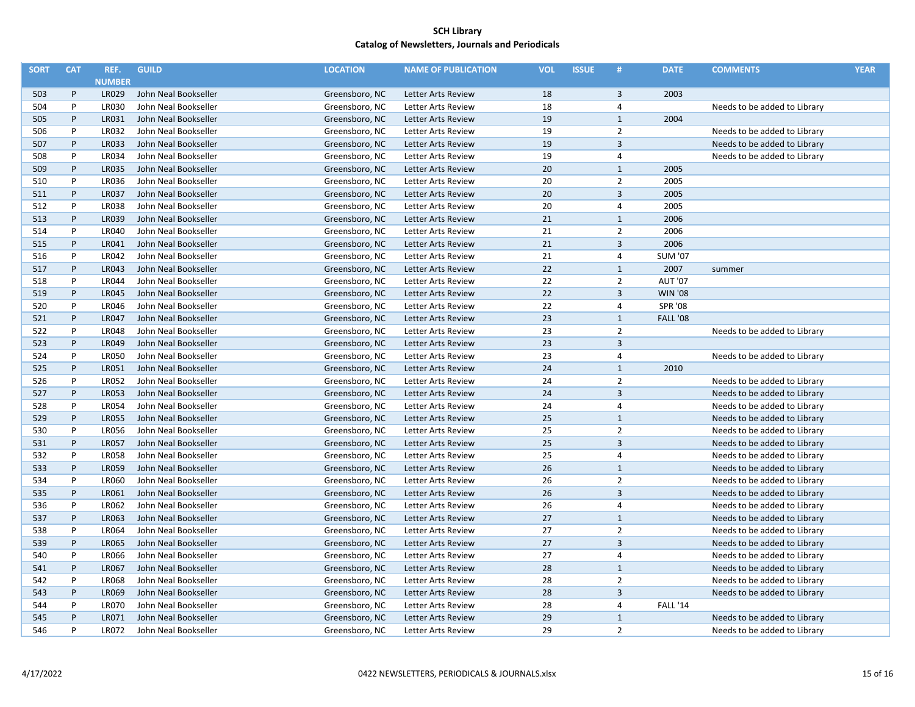| <b>SORT</b> | <b>CAT</b> | REF.                  | <b>GUILD</b>         | <b>LOCATION</b> | <b>NAME OF PUBLICATION</b> | <b>VOL</b> | <b>ISSUE</b> | #              | <b>DATE</b>     | <b>COMMENTS</b>              | <b>YEAR</b> |
|-------------|------------|-----------------------|----------------------|-----------------|----------------------------|------------|--------------|----------------|-----------------|------------------------------|-------------|
|             |            | <b>NUMBER</b>         |                      |                 |                            |            |              |                |                 |                              |             |
| 503         | P          | <b>LR029</b>          | John Neal Bookseller | Greensboro, NC  | Letter Arts Review         | 18         |              | 3              | 2003            |                              |             |
| 504         | P          | LR030                 | John Neal Bookseller | Greensboro, NC  | Letter Arts Review         | 18         |              | $\overline{4}$ |                 | Needs to be added to Library |             |
| 505         | P          | LR031                 | John Neal Bookseller | Greensboro, NC  | Letter Arts Review         | 19         |              | $\mathbf{1}$   | 2004            |                              |             |
| 506         | P          | LR032                 | John Neal Bookseller | Greensboro, NC  | Letter Arts Review         | 19         |              | $\overline{2}$ |                 | Needs to be added to Library |             |
| 507         | $\sf P$    | LR033                 | John Neal Bookseller | Greensboro, NC  | Letter Arts Review         | 19         |              | $\overline{3}$ |                 | Needs to be added to Library |             |
| 508         | P          | LR034                 | John Neal Bookseller | Greensboro, NC  | Letter Arts Review         | 19         |              | 4              |                 | Needs to be added to Library |             |
| 509         | $\sf P$    | <b>LR035</b>          | John Neal Bookseller | Greensboro, NC  | Letter Arts Review         | 20         |              | $\mathbf{1}$   | 2005            |                              |             |
| 510         | P          | LR036                 | John Neal Bookseller | Greensboro, NC  | Letter Arts Review         | 20         |              | $\overline{2}$ | 2005            |                              |             |
| 511         | $\sf P$    | <b>LR037</b>          | John Neal Bookseller | Greensboro, NC  | Letter Arts Review         | 20         |              | $\overline{3}$ | 2005            |                              |             |
| 512         | P          | <b>LR038</b>          | John Neal Bookseller | Greensboro, NC  | Letter Arts Review         | 20         |              | $\overline{4}$ | 2005            |                              |             |
| 513         | P          | LR039                 | John Neal Bookseller | Greensboro, NC  | Letter Arts Review         | 21         |              | $1\,$          | 2006            |                              |             |
| 514         | P          | LR040                 | John Neal Bookseller | Greensboro, NC  | Letter Arts Review         | 21         |              | $\overline{2}$ | 2006            |                              |             |
| 515         | P          | LR041                 | John Neal Bookseller | Greensboro, NC  | Letter Arts Review         | 21         |              | $\overline{3}$ | 2006            |                              |             |
| 516         | P          | LR042                 | John Neal Bookseller | Greensboro, NC  | Letter Arts Review         | 21         |              | 4              | <b>SUM '07</b>  |                              |             |
| 517         | P          | LR043                 | John Neal Bookseller | Greensboro, NC  | Letter Arts Review         | 22         |              | $\mathbf{1}$   | 2007            | summer                       |             |
| 518         | P          | LR044                 | John Neal Bookseller | Greensboro, NC  | Letter Arts Review         | 22         |              | $\overline{2}$ | <b>AUT '07</b>  |                              |             |
| 519         | P          | <b>LR045</b>          | John Neal Bookseller | Greensboro, NC  | Letter Arts Review         | 22         |              | $\overline{3}$ | <b>WIN '08</b>  |                              |             |
| 520         | P          | LR046                 | John Neal Bookseller | Greensboro, NC  | Letter Arts Review         | 22         |              | 4              | <b>SPR '08</b>  |                              |             |
| 521         | P          | <b>LR047</b>          | John Neal Bookseller | Greensboro, NC  | Letter Arts Review         | 23         |              | $\mathbf{1}$   | <b>FALL '08</b> |                              |             |
| 522         | P          | <b>LR048</b>          | John Neal Bookseller | Greensboro, NC  | Letter Arts Review         | 23         |              | $\overline{2}$ |                 | Needs to be added to Library |             |
| 523         | P          | LR049                 | John Neal Bookseller | Greensboro, NC  | <b>Letter Arts Review</b>  | 23         |              | $\overline{3}$ |                 |                              |             |
| 524         | P          | <b>LR050</b>          | John Neal Bookseller | Greensboro, NC  | <b>Letter Arts Review</b>  | 23         |              | 4              |                 | Needs to be added to Library |             |
| 525         | P          | LR051                 | John Neal Bookseller | Greensboro, NC  | Letter Arts Review         | 24         |              | $\mathbf{1}$   | 2010            |                              |             |
| 526         | P          | <b>LR052</b>          | John Neal Bookseller | Greensboro, NC  | Letter Arts Review         | 24         |              | $\overline{2}$ |                 | Needs to be added to Library |             |
| 527         | P          | <b>LR053</b>          | John Neal Bookseller | Greensboro, NC  | Letter Arts Review         | 24         |              | $\overline{3}$ |                 | Needs to be added to Library |             |
| 528         | P          | <b>LR054</b>          | John Neal Bookseller | Greensboro, NC  | Letter Arts Review         | 24         |              | $\overline{4}$ |                 | Needs to be added to Library |             |
| 529         | P          | <b>LR055</b>          | John Neal Bookseller | Greensboro, NC  | Letter Arts Review         | 25         |              | $\mathbf{1}$   |                 | Needs to be added to Library |             |
| 530         | P          | <b>LR056</b>          | John Neal Bookseller | Greensboro, NC  | Letter Arts Review         | 25         |              | $\overline{2}$ |                 | Needs to be added to Library |             |
| 531         | P          | <b>LR057</b>          | John Neal Bookseller | Greensboro, NC  | Letter Arts Review         | 25         |              | $\overline{3}$ |                 | Needs to be added to Library |             |
| 532         | $\sf P$    | <b>LR058</b>          | John Neal Bookseller | Greensboro, NC  | Letter Arts Review         | 25         |              | $\overline{4}$ |                 | Needs to be added to Library |             |
| 533         | P          | <b>LR059</b>          | John Neal Bookseller | Greensboro, NC  | Letter Arts Review         | 26         |              | $1\,$          |                 | Needs to be added to Library |             |
| 534         | P          | LR060                 | John Neal Bookseller | Greensboro, NC  | Letter Arts Review         | 26         |              | $\overline{2}$ |                 | Needs to be added to Library |             |
| 535         | P          | LR061                 | John Neal Bookseller | Greensboro, NC  | Letter Arts Review         | 26         |              | $\overline{3}$ |                 | Needs to be added to Library |             |
| 536         | P          | LR062                 | John Neal Bookseller | Greensboro, NC  | Letter Arts Review         | 26         |              | 4              |                 | Needs to be added to Library |             |
| 537         | $\sf P$    | LR063                 | John Neal Bookseller | Greensboro, NC  | Letter Arts Review         | 27         |              | $\mathbf{1}$   |                 | Needs to be added to Library |             |
| 538         | P          | <b>LR064</b>          | John Neal Bookseller | Greensboro, NC  |                            | 27         |              | $\overline{2}$ |                 |                              |             |
| 539         | P          | <b>LR065</b>          | John Neal Bookseller | Greensboro, NC  | Letter Arts Review         | 27         |              | $\overline{3}$ |                 | Needs to be added to Library |             |
|             | P          |                       |                      |                 | Letter Arts Review         |            |              |                |                 | Needs to be added to Library |             |
| 540         | $\sf P$    | <b>LR066</b><br>LR067 | John Neal Bookseller | Greensboro, NC  | Letter Arts Review         | 27<br>28   |              | 4<br>$1\,$     |                 | Needs to be added to Library |             |
| 541         | $\sf P$    |                       | John Neal Bookseller | Greensboro, NC  | Letter Arts Review         |            |              |                |                 | Needs to be added to Library |             |
| 542         |            | <b>LR068</b>          | John Neal Bookseller | Greensboro, NC  | Letter Arts Review         | 28         |              | $\overline{2}$ |                 | Needs to be added to Library |             |
| 543         | P          | <b>LR069</b>          | John Neal Bookseller | Greensboro, NC  | Letter Arts Review         | 28         |              | $\overline{3}$ |                 | Needs to be added to Library |             |
| 544         | P          | <b>LR070</b>          | John Neal Bookseller | Greensboro, NC  | Letter Arts Review         | 28         |              | 4              | <b>FALL '14</b> |                              |             |
| 545         | $\sf P$    | LR071                 | John Neal Bookseller | Greensboro, NC  | <b>Letter Arts Review</b>  | 29         |              | $\mathbf{1}$   |                 | Needs to be added to Library |             |
| 546         | P          | <b>LR072</b>          | John Neal Bookseller | Greensboro, NC  | Letter Arts Review         | 29         |              | $\overline{2}$ |                 | Needs to be added to Library |             |